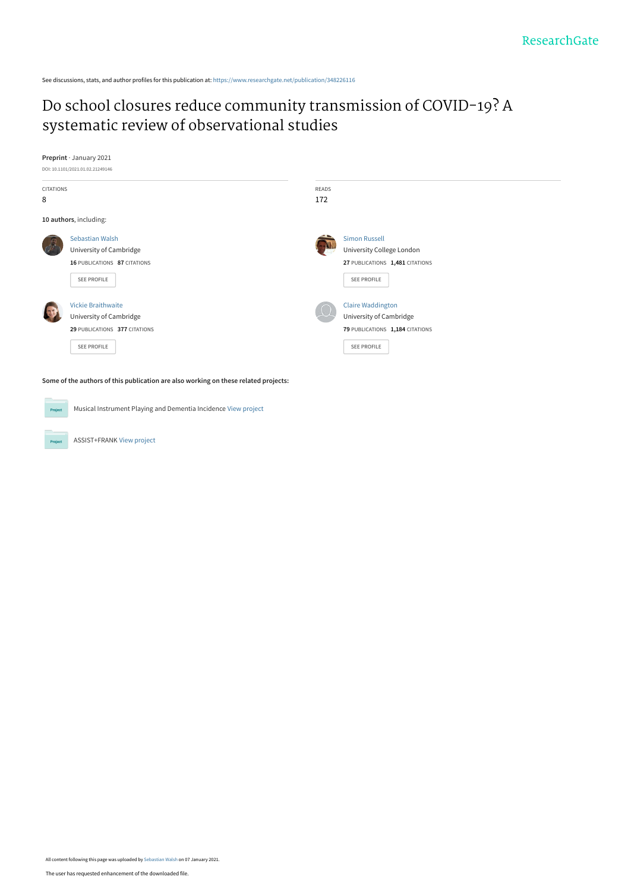See discussions, stats, and author profiles for this publication at: https://www.researchgate.net/publication/348226116

# Do school closures reduce community transmission of COVID-19? A systematic review of observational studies



ASSIST+FRANK View project

Project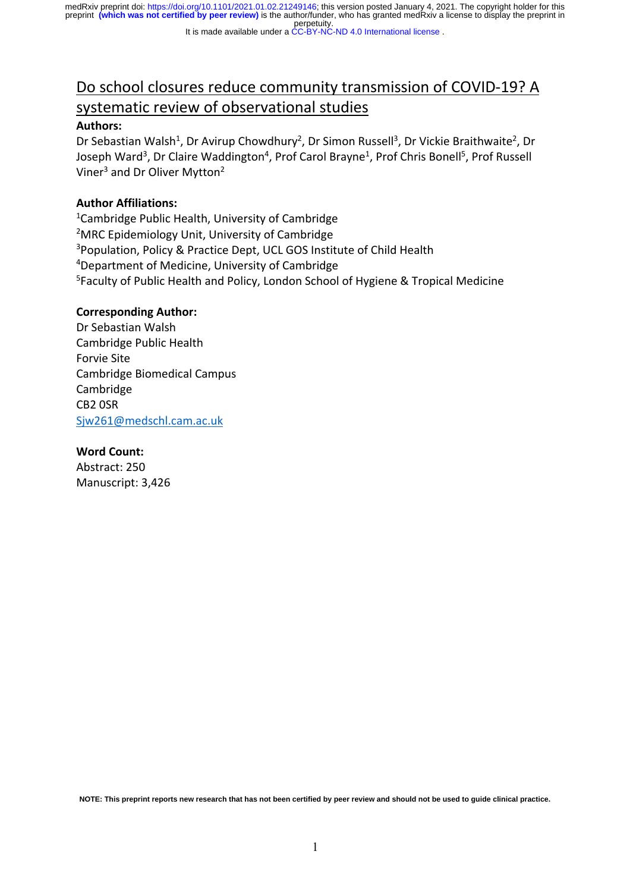#### It is made available under a CC-BY-NC-ND 4.0 International license.

# Do school closures reduce community transmission of COVID-19? A systematic review of observational studies

#### **Authors:**

Dr Sebastian Walsh<sup>1</sup>, Dr Avirup Chowdhury<sup>2</sup>, Dr Simon Russell<sup>3</sup>, Dr Vickie Braithwaite<sup>2</sup>, Dr Joseph Ward<sup>3</sup>, Dr Claire Waddington<sup>4</sup>, Prof Carol Brayne<sup>1</sup>, Prof Chris Bonell<sup>5</sup>, Prof Russell Viner<sup>3</sup> and Dr Oliver Mytton<sup>2</sup>

# **Author Affiliations:**

<sup>1</sup>Cambridge Public Health, University of Cambridge <sup>2</sup>MRC Epidemiology Unit, University of Cambridge <sup>3</sup>Population, Policy & Practice Dept, UCL GOS Institute of Child Health 4 Department of Medicine, University of Cambridge <sup>5</sup>Faculty of Public Health and Policy, London School of Hygiene & Tropical Medicine

#### **Corresponding Author:**

Dr Sebastian Walsh Cambridge Public Health Forvie Site Cambridge Biomedical Campus Cambridge CB2 0SR Sjw261@medschl.cam.ac.uk

#### **Word Count:**

Abstract: 250 Manuscript: 3,426

**NOTE: This preprint reports new research that has not been certified by peer review and should not be used to guide clinical practice.**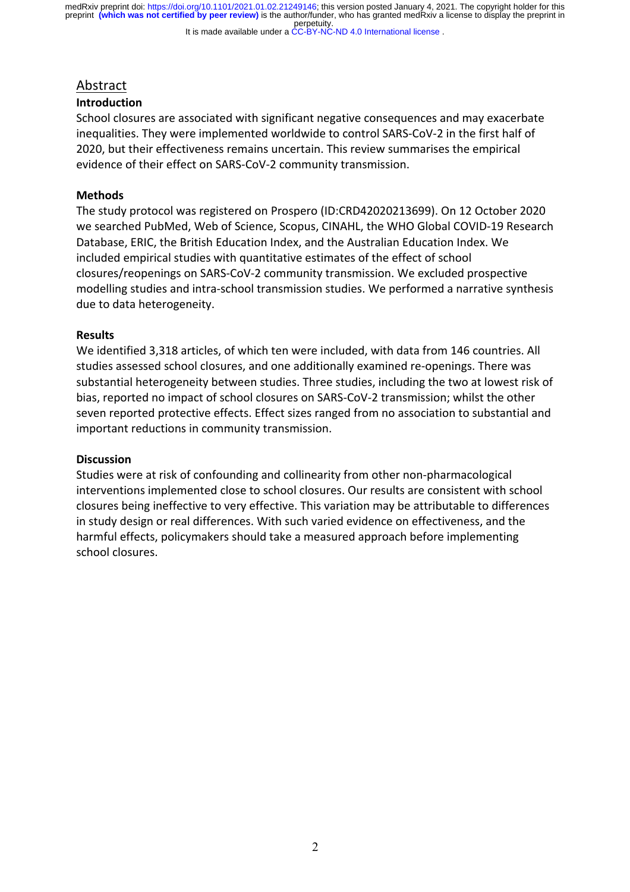#### It is made available under a CC-BY-NC-ND 4.0 International license.

# Abstract

#### **Introduction**

School closures are associated with significant negative consequences and may exacerbate inequalities. They were implemented worldwide to control SARS-CoV-2 in the first half of 2020, but their effectiveness remains uncertain. This review summarises the empirical evidence of their effect on SARS-CoV-2 community transmission.

## **Methods**

The study protocol was registered on Prospero (ID:CRD42020213699). On 12 October 2020 we searched PubMed, Web of Science, Scopus, CINAHL, the WHO Global COVID-19 Research Database, ERIC, the British Education Index, and the Australian Education Index. We included empirical studies with quantitative estimates of the effect of school closures/reopenings on SARS-CoV-2 community transmission. We excluded prospective modelling studies and intra-school transmission studies. We performed a narrative synthesis due to data heterogeneity.

#### **Results**

We identified 3,318 articles, of which ten were included, with data from 146 countries. All studies assessed school closures, and one additionally examined re-openings. There was substantial heterogeneity between studies. Three studies, including the two at lowest risk of bias, reported no impact of school closures on SARS-CoV-2 transmission; whilst the other seven reported protective effects. Effect sizes ranged from no association to substantial and important reductions in community transmission.

#### **Discussion**

Studies were at risk of confounding and collinearity from other non-pharmacological interventions implemented close to school closures. Our results are consistent with school closures being ineffective to very effective. This variation may be attributable to differences in study design or real differences. With such varied evidence on effectiveness, and the harmful effects, policymakers should take a measured approach before implementing school closures.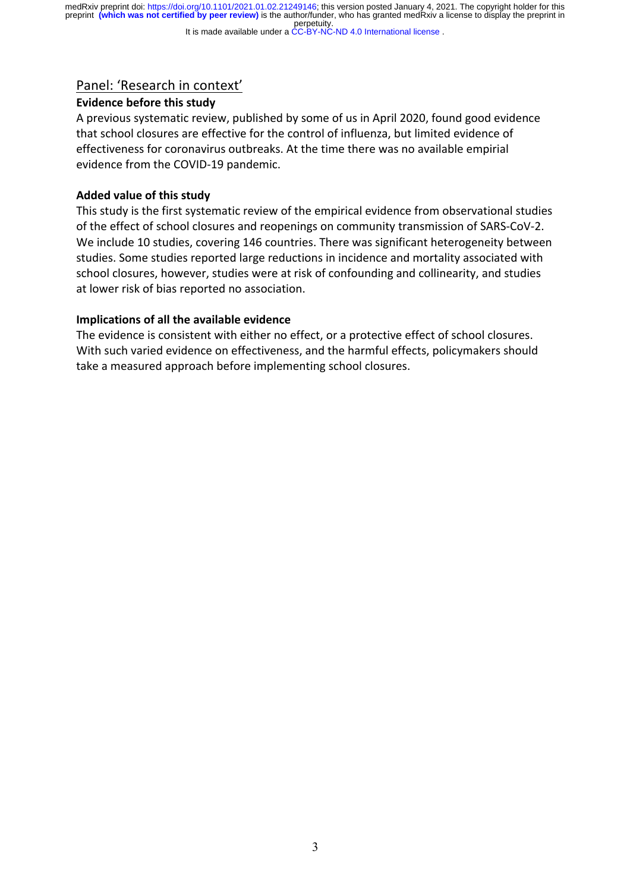#### It is made available under a CC-BY-NC-ND 4.0 International license.

# Panel: 'Research in context'

# **Evidence before this study**

A previous systematic review, published by some of us in April 2020, found good evidence that school closures are effective for the control of influenza, but limited evidence of effectiveness for coronavirus outbreaks. At the time there was no available empirial evidence from the COVID-19 pandemic.

# **Added value of this study**

This study is the first systematic review of the empirical evidence from observational studies of the effect of school closures and reopenings on community transmission of SARS-CoV-2. We include 10 studies, covering 146 countries. There was significant heterogeneity between studies. Some studies reported large reductions in incidence and mortality associated with school closures, however, studies were at risk of confounding and collinearity, and studies at lower risk of bias reported no association.

# **Implications of all the available evidence**

The evidence is consistent with either no effect, or a protective effect of school closures. With such varied evidence on effectiveness, and the harmful effects, policymakers should take a measured approach before implementing school closures.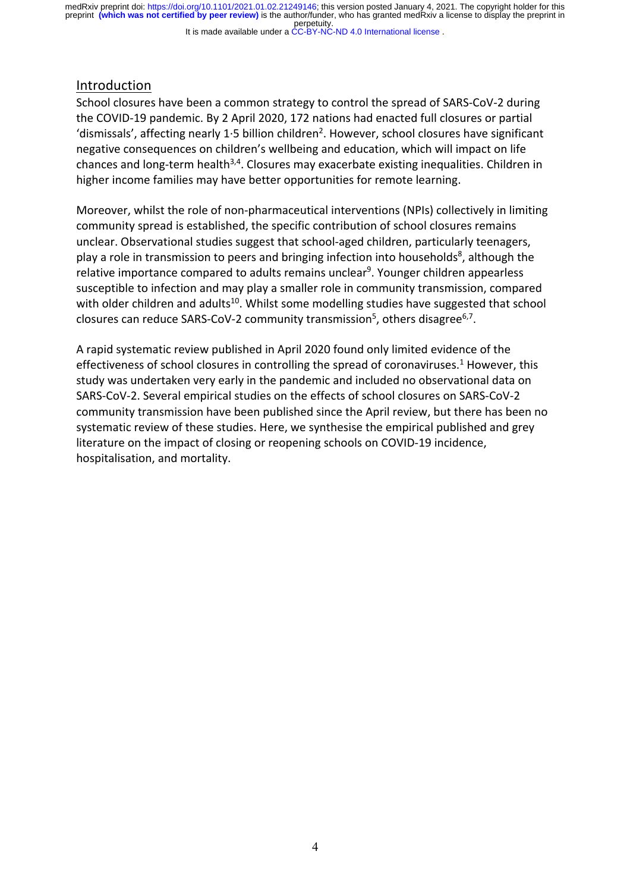It is made available under a CC-BY-NC-ND 4.0 International license.

# Introduction

School closures have been a common strategy to control the spread of SARS-CoV-2 during the COVID-19 pandemic. By 2 April 2020, 172 nations had enacted full closures or partial 'dismissals', affecting nearly 1 $\cdot$ 5 billion children<sup>2</sup>. However, school closures have significant negative consequences on children's wellbeing and education, which will impact on life chances and long-term health<sup>3,4</sup>. Closures may exacerbate existing inequalities. Children in higher income families may have better opportunities for remote learning.

Moreover, whilst the role of non-pharmaceutical interventions (NPIs) collectively in limiting community spread is established, the specific contribution of school closures remains unclear. Observational studies suggest that school-aged children, particularly teenagers, play a role in transmission to peers and bringing infection into households<sup>8</sup>, although the relative importance compared to adults remains unclear<sup>9</sup>. Younger children appearless susceptible to infection and may play a smaller role in community transmission, compared with older children and adults<sup>10</sup>. Whilst some modelling studies have suggested that school closures can reduce SARS-CoV-2 community transmission<sup>5</sup>, others disagree<sup>6,7</sup>.

A rapid systematic review published in April 2020 found only limited evidence of the effectiveness of school closures in controlling the spread of coronaviruses.<sup>1</sup> However, this study was undertaken very early in the pandemic and included no observational data on SARS-CoV-2. Several empirical studies on the effects of school closures on SARS-CoV-2 community transmission have been published since the April review, but there has been no systematic review of these studies. Here, we synthesise the empirical published and grey literature on the impact of closing or reopening schools on COVID-19 incidence, hospitalisation, and mortality.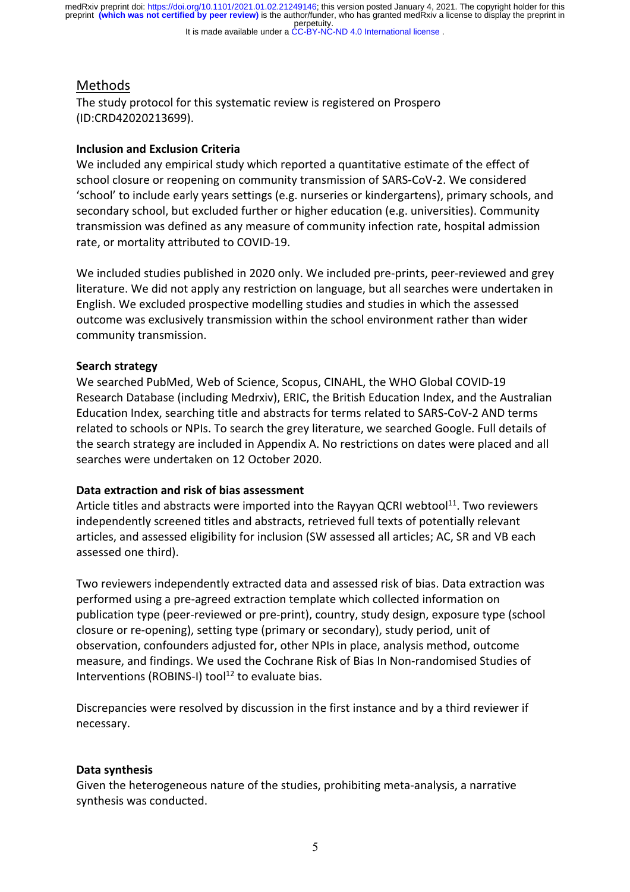#### It is made available under a CC-BY-NC-ND 4.0 International license.

# Methods

The study protocol for this systematic review is registered on Prospero (ID:CRD42020213699).

## **Inclusion and Exclusion Criteria**

We included any empirical study which reported a quantitative estimate of the effect of school closure or reopening on community transmission of SARS-CoV-2. We considered 'school' to include early years settings (e.g. nurseries or kindergartens), primary schools, and secondary school, but excluded further or higher education (e.g. universities). Community transmission was defined as any measure of community infection rate, hospital admission rate, or mortality attributed to COVID-19.

We included studies published in 2020 only. We included pre-prints, peer-reviewed and grey literature. We did not apply any restriction on language, but all searches were undertaken in English. We excluded prospective modelling studies and studies in which the assessed outcome was exclusively transmission within the school environment rather than wider community transmission.

## **Search strategy**

We searched PubMed, Web of Science, Scopus, CINAHL, the WHO Global COVID-19 Research Database (including Medrxiv), ERIC, the British Education Index, and the Australian Education Index, searching title and abstracts for terms related to SARS-CoV-2 AND terms related to schools or NPIs. To search the grey literature, we searched Google. Full details of the search strategy are included in Appendix A. No restrictions on dates were placed and all searches were undertaken on 12 October 2020.

# **Data extraction and risk of bias assessment**

Article titles and abstracts were imported into the Rayyan QCRI webtool<sup>11</sup>. Two reviewers independently screened titles and abstracts, retrieved full texts of potentially relevant articles, and assessed eligibility for inclusion (SW assessed all articles; AC, SR and VB each assessed one third).

Two reviewers independently extracted data and assessed risk of bias. Data extraction was performed using a pre-agreed extraction template which collected information on publication type (peer-reviewed or pre-print), country, study design, exposure type (school closure or re-opening), setting type (primary or secondary), study period, unit of observation, confounders adjusted for, other NPIs in place, analysis method, outcome measure, and findings. We used the Cochrane Risk of Bias In Non-randomised Studies of Interventions (ROBINS-I) tool $12$  to evaluate bias.

Discrepancies were resolved by discussion in the first instance and by a third reviewer if necessary.

#### **Data synthesis**

Given the heterogeneous nature of the studies, prohibiting meta-analysis, a narrative synthesis was conducted.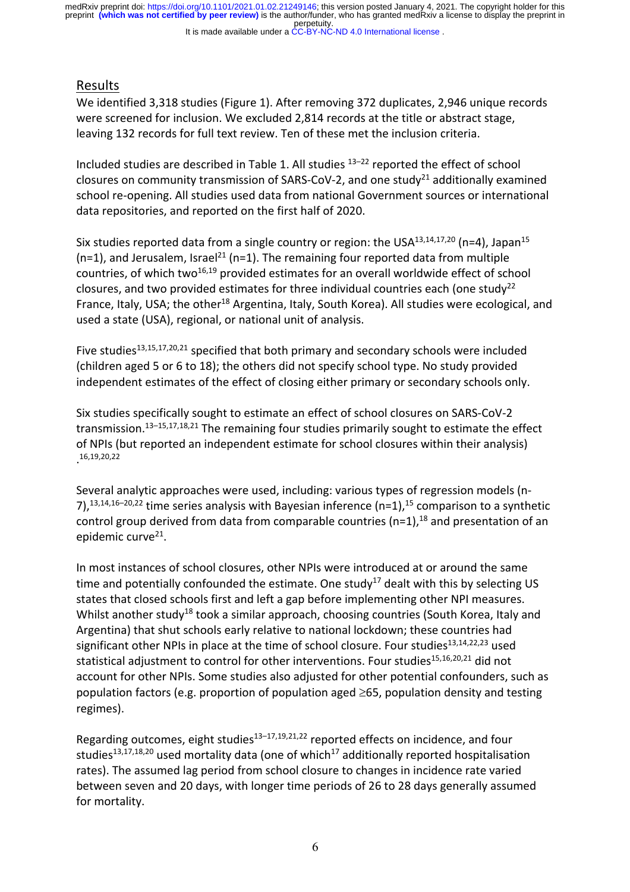It is made available under a CC-BY-NC-ND 4.0 International license. perpetuity. preprint **(which was not certified by peer review)** is the author/funder, who has granted medRxiv a license to display the preprint in medRxiv preprint doi: https://doi.org/10.1101/2021.01.02.21249146; this version posted January 4, 2021. The copyright holder for this

# Results

We identified 3,318 studies (Figure 1). After removing 372 duplicates, 2,946 unique records were screened for inclusion. We excluded 2,814 records at the title or abstract stage, leaving 132 records for full text review. Ten of these met the inclusion criteria.

Included studies are described in Table 1. All studies 13–22 reported the effect of school closures on community transmission of SARS-CoV-2, and one study<sup>21</sup> additionally examined school re-opening. All studies used data from national Government sources or international data repositories, and reported on the first half of 2020.

Six studies reported data from a single country or region: the USA $^{13,14,17,20}$  (n=4), Japan<sup>15</sup>  $(n=1)$ , and Jerusalem, Israel<sup>21</sup> (n=1). The remaining four reported data from multiple countries, of which two<sup>16,19</sup> provided estimates for an overall worldwide effect of school closures, and two provided estimates for three individual countries each (one study<sup>22</sup> France, Italy, USA; the other<sup>18</sup> Argentina, Italy, South Korea). All studies were ecological, and used a state (USA), regional, or national unit of analysis.

Five studies<sup>13,15,17,20,21</sup> specified that both primary and secondary schools were included (children aged 5 or 6 to 18); the others did not specify school type. No study provided independent estimates of the effect of closing either primary or secondary schools only.

Six studies specifically sought to estimate an effect of school closures on SARS-CoV-2 transmission.<sup>13–15,17,18,21</sup> The remaining four studies primarily sought to estimate the effect of NPIs (but reported an independent estimate for school closures within their analysis) . 16,19,20,22

Several analytic approaches were used, including: various types of regression models (n-7),<sup>13,14,16-20,22</sup> time series analysis with Bayesian inference (n=1),<sup>15</sup> comparison to a synthetic control group derived from data from comparable countries ( $n=1$ ),<sup>18</sup> and presentation of an epidemic curve $21$ .

In most instances of school closures, other NPIs were introduced at or around the same time and potentially confounded the estimate. One study<sup>17</sup> dealt with this by selecting US states that closed schools first and left a gap before implementing other NPI measures. Whilst another study<sup>18</sup> took a similar approach, choosing countries (South Korea, Italy and Argentina) that shut schools early relative to national lockdown; these countries had significant other NPIs in place at the time of school closure. Four studies $13,14,22,23$  used statistical adjustment to control for other interventions. Four studies<sup>15,16,20,21</sup> did not account for other NPIs. Some studies also adjusted for other potential confounders, such as population factors (e.g. proportion of population aged  $\geq 65$ , population density and testing regimes).

Regarding outcomes, eight studies<sup>13–17,19,21,22</sup> reported effects on incidence, and four studies<sup>13,17,18,20</sup> used mortality data (one of which<sup>17</sup> additionally reported hospitalisation rates). The assumed lag period from school closure to changes in incidence rate varied between seven and 20 days, with longer time periods of 26 to 28 days generally assumed for mortality.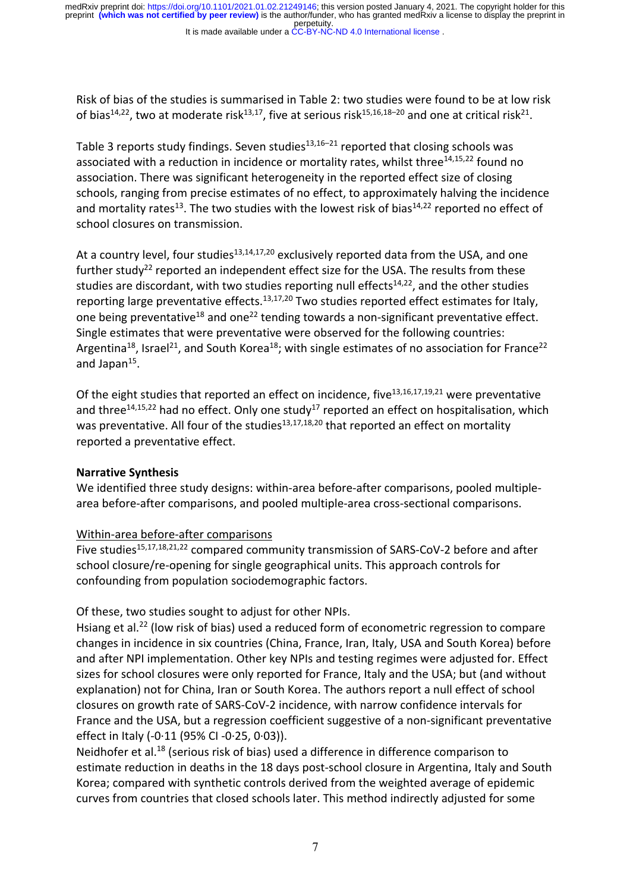It is made available under a CC-BY-NC-ND 4.0 International license.

Risk of bias of the studies is summarised in Table 2: two studies were found to be at low risk of bias<sup>14,22</sup>, two at moderate risk<sup>13,17</sup>, five at serious risk<sup>15,16,18–20</sup> and one at critical risk<sup>21</sup>.

Table 3 reports study findings. Seven studies $13,16-21$  reported that closing schools was associated with a reduction in incidence or mortality rates, whilst three<sup>14,15,22</sup> found no association. There was significant heterogeneity in the reported effect size of closing schools, ranging from precise estimates of no effect, to approximately halving the incidence and mortality rates<sup>13</sup>. The two studies with the lowest risk of bias<sup>14,22</sup> reported no effect of school closures on transmission.

At a country level, four studies $13,14,17,20$  exclusively reported data from the USA, and one further study<sup>22</sup> reported an independent effect size for the USA. The results from these studies are discordant, with two studies reporting null effects<sup>14,22</sup>, and the other studies reporting large preventative effects.<sup>13,17,20</sup> Two studies reported effect estimates for Italy, one being preventative<sup>18</sup> and one<sup>22</sup> tending towards a non-significant preventative effect. Single estimates that were preventative were observed for the following countries: Argentina<sup>18</sup>, Israel<sup>21</sup>, and South Korea<sup>18</sup>; with single estimates of no association for France<sup>22</sup> and Japan $15$ .

Of the eight studies that reported an effect on incidence, five $13,16,17,19,21$  were preventative and three<sup>14,15,22</sup> had no effect. Only one study<sup>17</sup> reported an effect on hospitalisation, which was preventative. All four of the studies<sup>13,17,18,20</sup> that reported an effect on mortality reported a preventative effect.

# **Narrative Synthesis**

We identified three study designs: within-area before-after comparisons, pooled multiplearea before-after comparisons, and pooled multiple-area cross-sectional comparisons.

# Within-area before-after comparisons

Five studies<sup>15,17,18,21,22</sup> compared community transmission of SARS-CoV-2 before and after school closure/re-opening for single geographical units. This approach controls for confounding from population sociodemographic factors.

# Of these, two studies sought to adjust for other NPIs.

Hsiang et al.<sup>22</sup> (low risk of bias) used a reduced form of econometric regression to compare changes in incidence in six countries (China, France, Iran, Italy, USA and South Korea) before and after NPI implementation. Other key NPIs and testing regimes were adjusted for. Effect sizes for school closures were only reported for France, Italy and the USA; but (and without explanation) not for China, Iran or South Korea. The authors report a null effect of school closures on growth rate of SARS-CoV-2 incidence, with narrow confidence intervals for France and the USA, but a regression coefficient suggestive of a non-significant preventative effect in Italy (-0·11 (95% CI -0·25, 0·03)).

Neidhofer et al.18 (serious risk of bias) used a difference in difference comparison to estimate reduction in deaths in the 18 days post-school closure in Argentina, Italy and South Korea; compared with synthetic controls derived from the weighted average of epidemic curves from countries that closed schools later. This method indirectly adjusted for some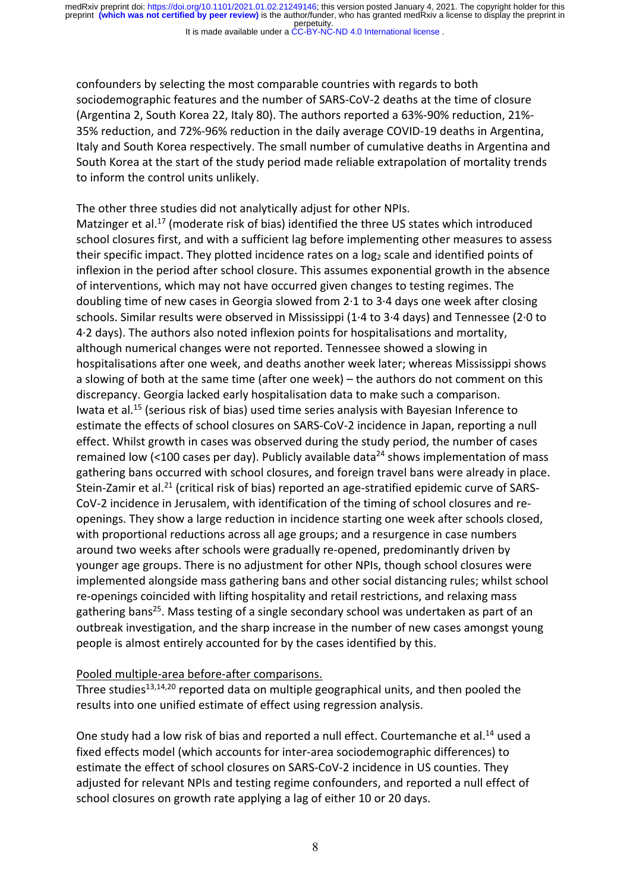It is made available under a CC-BY-NC-ND 4.0 International license.

confounders by selecting the most comparable countries with regards to both sociodemographic features and the number of SARS-CoV-2 deaths at the time of closure (Argentina 2, South Korea 22, Italy 80). The authors reported a 63%-90% reduction, 21%- 35% reduction, and 72%-96% reduction in the daily average COVID-19 deaths in Argentina, Italy and South Korea respectively. The small number of cumulative deaths in Argentina and South Korea at the start of the study period made reliable extrapolation of mortality trends to inform the control units unlikely.

The other three studies did not analytically adjust for other NPIs. Matzinger et al.<sup>17</sup> (moderate risk of bias) identified the three US states which introduced school closures first, and with a sufficient lag before implementing other measures to assess their specific impact. They plotted incidence rates on a  $log<sub>2</sub>$  scale and identified points of inflexion in the period after school closure. This assumes exponential growth in the absence of interventions, which may not have occurred given changes to testing regimes. The doubling time of new cases in Georgia slowed from 2·1 to 3·4 days one week after closing schools. Similar results were observed in Mississippi (1·4 to 3·4 days) and Tennessee (2·0 to 4·2 days). The authors also noted inflexion points for hospitalisations and mortality, although numerical changes were not reported. Tennessee showed a slowing in hospitalisations after one week, and deaths another week later; whereas Mississippi shows a slowing of both at the same time (after one week) – the authors do not comment on this discrepancy. Georgia lacked early hospitalisation data to make such a comparison. Iwata et al.15 (serious risk of bias) used time series analysis with Bayesian Inference to estimate the effects of school closures on SARS-CoV-2 incidence in Japan, reporting a null effect. Whilst growth in cases was observed during the study period, the number of cases remained low (<100 cases per day). Publicly available data<sup>24</sup> shows implementation of mass gathering bans occurred with school closures, and foreign travel bans were already in place. Stein-Zamir et al.<sup>21</sup> (critical risk of bias) reported an age-stratified epidemic curve of SARS-CoV-2 incidence in Jerusalem, with identification of the timing of school closures and reopenings. They show a large reduction in incidence starting one week after schools closed, with proportional reductions across all age groups; and a resurgence in case numbers around two weeks after schools were gradually re-opened, predominantly driven by younger age groups. There is no adjustment for other NPIs, though school closures were implemented alongside mass gathering bans and other social distancing rules; whilst school re-openings coincided with lifting hospitality and retail restrictions, and relaxing mass gathering bans<sup>25</sup>. Mass testing of a single secondary school was undertaken as part of an outbreak investigation, and the sharp increase in the number of new cases amongst young people is almost entirely accounted for by the cases identified by this.

# Pooled multiple-area before-after comparisons.

Three studies $13,14,20$  reported data on multiple geographical units, and then pooled the results into one unified estimate of effect using regression analysis.

One study had a low risk of bias and reported a null effect. Courtemanche et al.<sup>14</sup> used a fixed effects model (which accounts for inter-area sociodemographic differences) to estimate the effect of school closures on SARS-CoV-2 incidence in US counties. They adjusted for relevant NPIs and testing regime confounders, and reported a null effect of school closures on growth rate applying a lag of either 10 or 20 days.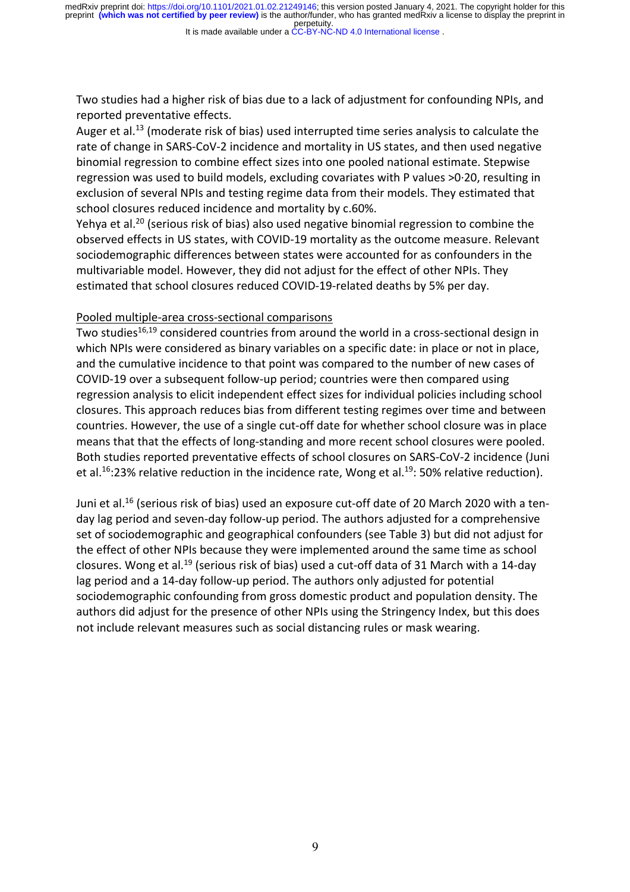It is made available under a CC-BY-NC-ND 4.0 International license.

Two studies had a higher risk of bias due to a lack of adjustment for confounding NPIs, and reported preventative effects.

Auger et al.<sup>13</sup> (moderate risk of bias) used interrupted time series analysis to calculate the rate of change in SARS-CoV-2 incidence and mortality in US states, and then used negative binomial regression to combine effect sizes into one pooled national estimate. Stepwise regression was used to build models, excluding covariates with P values >0·20, resulting in exclusion of several NPIs and testing regime data from their models. They estimated that school closures reduced incidence and mortality by c.60%.

Yehya et al.<sup>20</sup> (serious risk of bias) also used negative binomial regression to combine the observed effects in US states, with COVID-19 mortality as the outcome measure. Relevant sociodemographic differences between states were accounted for as confounders in the multivariable model. However, they did not adjust for the effect of other NPIs. They estimated that school closures reduced COVID-19-related deaths by 5% per day.

#### Pooled multiple-area cross-sectional comparisons

Two studies<sup>16,19</sup> considered countries from around the world in a cross-sectional design in which NPIs were considered as binary variables on a specific date: in place or not in place, and the cumulative incidence to that point was compared to the number of new cases of COVID-19 over a subsequent follow-up period; countries were then compared using regression analysis to elicit independent effect sizes for individual policies including school closures. This approach reduces bias from different testing regimes over time and between countries. However, the use of a single cut-off date for whether school closure was in place means that that the effects of long-standing and more recent school closures were pooled. Both studies reported preventative effects of school closures on SARS-CoV-2 incidence (Juni et al.<sup>16</sup>:23% relative reduction in the incidence rate, Wong et al.<sup>19</sup>: 50% relative reduction).

Juni et al.<sup>16</sup> (serious risk of bias) used an exposure cut-off date of 20 March 2020 with a tenday lag period and seven-day follow-up period. The authors adjusted for a comprehensive set of sociodemographic and geographical confounders (see Table 3) but did not adjust for the effect of other NPIs because they were implemented around the same time as school closures. Wong et al.19 (serious risk of bias) used a cut-off data of 31 March with a 14-day lag period and a 14-day follow-up period. The authors only adjusted for potential sociodemographic confounding from gross domestic product and population density. The authors did adjust for the presence of other NPIs using the Stringency Index, but this does not include relevant measures such as social distancing rules or mask wearing.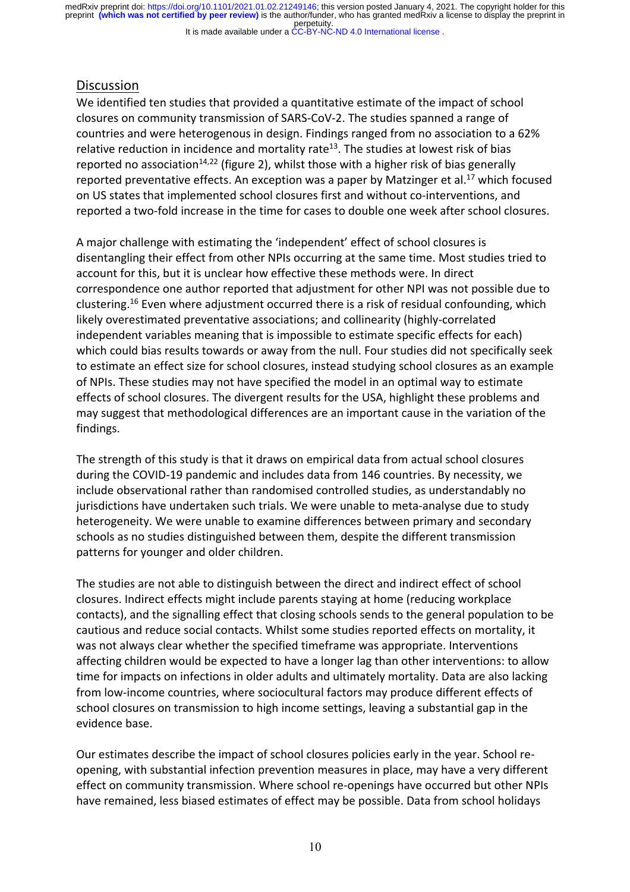It is made available under a CC-BY-NC-ND 4.0 International license.

# **Discussion**

We identified ten studies that provided a quantitative estimate of the impact of school closures on community transmission of SARS-CoV-2. The studies spanned a range of countries and were heterogenous in design. Findings ranged from no association to a 62% relative reduction in incidence and mortality rate<sup>13</sup>. The studies at lowest risk of bias reported no association<sup>14,22</sup> (figure 2), whilst those with a higher risk of bias generally reported preventative effects. An exception was a paper by Matzinger et al.<sup>17</sup> which focused on US states that implemented school closures first and without co-interventions, and reported a two-fold increase in the time for cases to double one week after school closures.

A major challenge with estimating the 'independent' effect of school closures is disentangling their effect from other NPIs occurring at the same time. Most studies tried to account for this, but it is unclear how effective these methods were. In direct correspondence one author reported that adjustment for other NPI was not possible due to clustering.16 Even where adjustment occurred there is a risk of residual confounding, which likely overestimated preventative associations; and collinearity (highly-correlated independent variables meaning that is impossible to estimate specific effects for each) which could bias results towards or away from the null. Four studies did not specifically seek to estimate an effect size for school closures, instead studying school closures as an example of NPIs. These studies may not have specified the model in an optimal way to estimate effects of school closures. The divergent results for the USA, highlight these problems and may suggest that methodological differences are an important cause in the variation of the findings.

The strength of this study is that it draws on empirical data from actual school closures during the COVID-19 pandemic and includes data from 146 countries. By necessity, we include observational rather than randomised controlled studies, as understandably no jurisdictions have undertaken such trials. We were unable to meta-analyse due to study heterogeneity. We were unable to examine differences between primary and secondary schools as no studies distinguished between them, despite the different transmission patterns for younger and older children.

The studies are not able to distinguish between the direct and indirect effect of school closures. Indirect effects might include parents staying at home (reducing workplace contacts), and the signalling effect that closing schools sends to the general population to be cautious and reduce social contacts. Whilst some studies reported effects on mortality, it was not always clear whether the specified timeframe was appropriate. Interventions affecting children would be expected to have a longer lag than other interventions: to allow time for impacts on infections in older adults and ultimately mortality. Data are also lacking from low-income countries, where sociocultural factors may produce different effects of school closures on transmission to high income settings, leaving a substantial gap in the evidence base.

Our estimates describe the impact of school closures policies early in the year. School reopening, with substantial infection prevention measures in place, may have a very different effect on community transmission. Where school re-openings have occurred but other NPIs have remained, less biased estimates of effect may be possible. Data from school holidays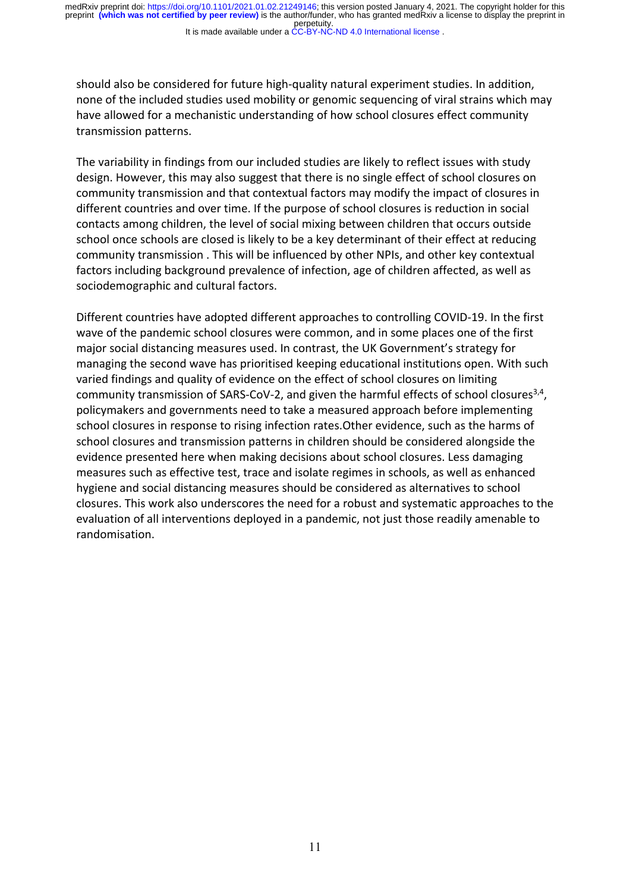It is made available under a CC-BY-NC-ND 4.0 International license. perpetuity. preprint **(which was not certified by peer review)** is the author/funder, who has granted medRxiv a license to display the preprint in medRxiv preprint doi: https://doi.org/10.1101/2021.01.02.21249146; this version posted January 4, 2021. The copyright holder for this

should also be considered for future high-quality natural experiment studies. In addition, none of the included studies used mobility or genomic sequencing of viral strains which may have allowed for a mechanistic understanding of how school closures effect community transmission patterns.

The variability in findings from our included studies are likely to reflect issues with study design. However, this may also suggest that there is no single effect of school closures on community transmission and that contextual factors may modify the impact of closures in different countries and over time. If the purpose of school closures is reduction in social contacts among children, the level of social mixing between children that occurs outside school once schools are closed is likely to be a key determinant of their effect at reducing community transmission . This will be influenced by other NPIs, and other key contextual factors including background prevalence of infection, age of children affected, as well as sociodemographic and cultural factors.

Different countries have adopted different approaches to controlling COVID-19. In the first wave of the pandemic school closures were common, and in some places one of the first major social distancing measures used. In contrast, the UK Government's strategy for managing the second wave has prioritised keeping educational institutions open. With such varied findings and quality of evidence on the effect of school closures on limiting community transmission of SARS-CoV-2, and given the harmful effects of school closures<sup>3,4</sup>, policymakers and governments need to take a measured approach before implementing school closures in response to rising infection rates.Other evidence, such as the harms of school closures and transmission patterns in children should be considered alongside the evidence presented here when making decisions about school closures. Less damaging measures such as effective test, trace and isolate regimes in schools, as well as enhanced hygiene and social distancing measures should be considered as alternatives to school closures. This work also underscores the need for a robust and systematic approaches to the evaluation of all interventions deployed in a pandemic, not just those readily amenable to randomisation.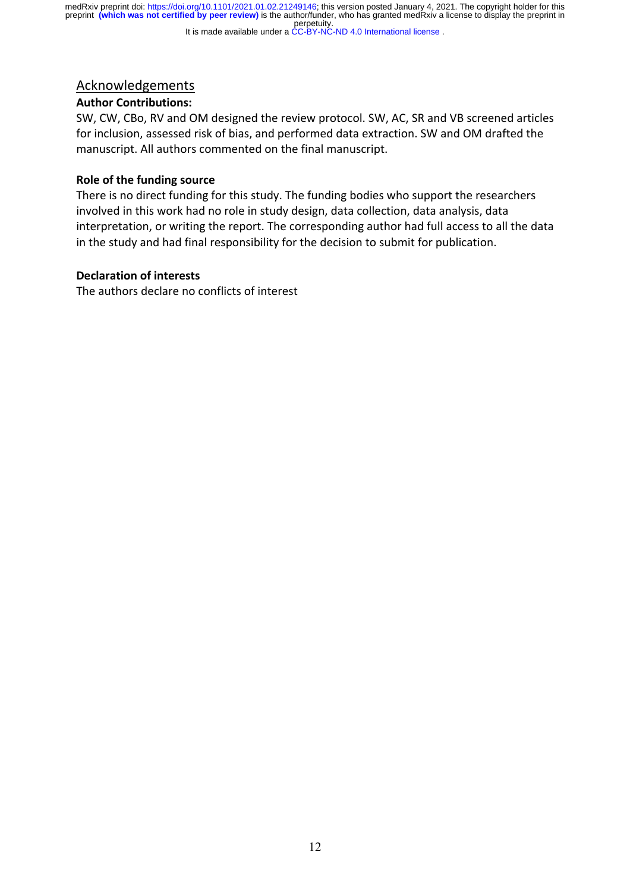#### It is made available under a CC-BY-NC-ND 4.0 International license.

# Acknowledgements

# **Author Contributions:**

SW, CW, CBo, RV and OM designed the review protocol. SW, AC, SR and VB screened articles for inclusion, assessed risk of bias, and performed data extraction. SW and OM drafted the manuscript. All authors commented on the final manuscript.

# **Role of the funding source**

There is no direct funding for this study. The funding bodies who support the researchers involved in this work had no role in study design, data collection, data analysis, data interpretation, or writing the report. The corresponding author had full access to all the data in the study and had final responsibility for the decision to submit for publication.

## **Declaration of interests**

The authors declare no conflicts of interest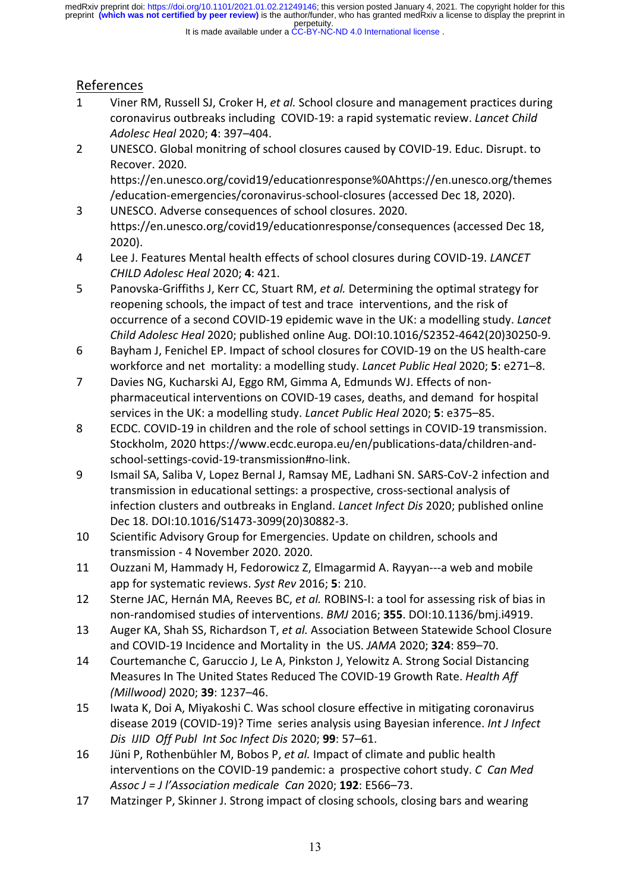#### It is made available under a CC-BY-NC-ND 4.0 International license.

# References

- 1 Viner RM, Russell SJ, Croker H, *et al.* School closure and management practices during coronavirus outbreaks including COVID-19: a rapid systematic review. *Lancet Child Adolesc Heal* 2020; **4**: 397–404.
- 2 UNESCO. Global monitring of school closures caused by COVID-19. Educ. Disrupt. to Recover. 2020. https://en.unesco.org/covid19/educationresponse%0Ahttps://en.unesco.org/themes /education-emergencies/coronavirus-school-closures (accessed Dec 18, 2020).
- 3 UNESCO. Adverse consequences of school closures. 2020. https://en.unesco.org/covid19/educationresponse/consequences (accessed Dec 18, 2020).
- 4 Lee J. Features Mental health effects of school closures during COVID-19. *LANCET CHILD Adolesc Heal* 2020; **4**: 421.
- 5 Panovska-Griffiths J, Kerr CC, Stuart RM, *et al.* Determining the optimal strategy for reopening schools, the impact of test and trace interventions, and the risk of occurrence of a second COVID-19 epidemic wave in the UK: a modelling study. *Lancet Child Adolesc Heal* 2020; published online Aug. DOI:10.1016/S2352-4642(20)30250-9.
- 6 Bayham J, Fenichel EP. Impact of school closures for COVID-19 on the US health-care workforce and net mortality: a modelling study. *Lancet Public Heal* 2020; **5**: e271–8.
- 7 Davies NG, Kucharski AJ, Eggo RM, Gimma A, Edmunds WJ. Effects of nonpharmaceutical interventions on COVID-19 cases, deaths, and demand for hospital services in the UK: a modelling study. *Lancet Public Heal* 2020; **5**: e375–85.
- 8 ECDC. COVID-19 in children and the role of school settings in COVID-19 transmission. Stockholm, 2020 https://www.ecdc.europa.eu/en/publications-data/children-andschool-settings-covid-19-transmission#no-link.
- 9 Ismail SA, Saliba V, Lopez Bernal J, Ramsay ME, Ladhani SN. SARS-CoV-2 infection and transmission in educational settings: a prospective, cross-sectional analysis of infection clusters and outbreaks in England. *Lancet Infect Dis* 2020; published online Dec 18. DOI:10.1016/S1473-3099(20)30882-3.
- 10 Scientific Advisory Group for Emergencies. Update on children, schools and transmission - 4 November 2020. 2020.
- 11 Ouzzani M, Hammady H, Fedorowicz Z, Elmagarmid A. Rayyan---a web and mobile app for systematic reviews. *Syst Rev* 2016; **5**: 210.
- 12 Sterne JAC, Hernán MA, Reeves BC, *et al.* ROBINS-I: a tool for assessing risk of bias in non-randomised studies of interventions. *BMJ* 2016; **355**. DOI:10.1136/bmj.i4919.
- 13 Auger KA, Shah SS, Richardson T, *et al.* Association Between Statewide School Closure and COVID-19 Incidence and Mortality in the US. *JAMA* 2020; **324**: 859–70.
- 14 Courtemanche C, Garuccio J, Le A, Pinkston J, Yelowitz A. Strong Social Distancing Measures In The United States Reduced The COVID-19 Growth Rate. *Health Aff (Millwood)* 2020; **39**: 1237–46.
- 15 Iwata K, Doi A, Miyakoshi C. Was school closure effective in mitigating coronavirus disease 2019 (COVID-19)? Time series analysis using Bayesian inference. *Int J Infect Dis IJID Off Publ Int Soc Infect Dis* 2020; **99**: 57–61.
- 16 Jüni P, Rothenbühler M, Bobos P, *et al.* Impact of climate and public health interventions on the COVID-19 pandemic: a prospective cohort study. *C Can Med Assoc J = J l'Association medicale Can* 2020; **192**: E566–73.
- 17 Matzinger P, Skinner J. Strong impact of closing schools, closing bars and wearing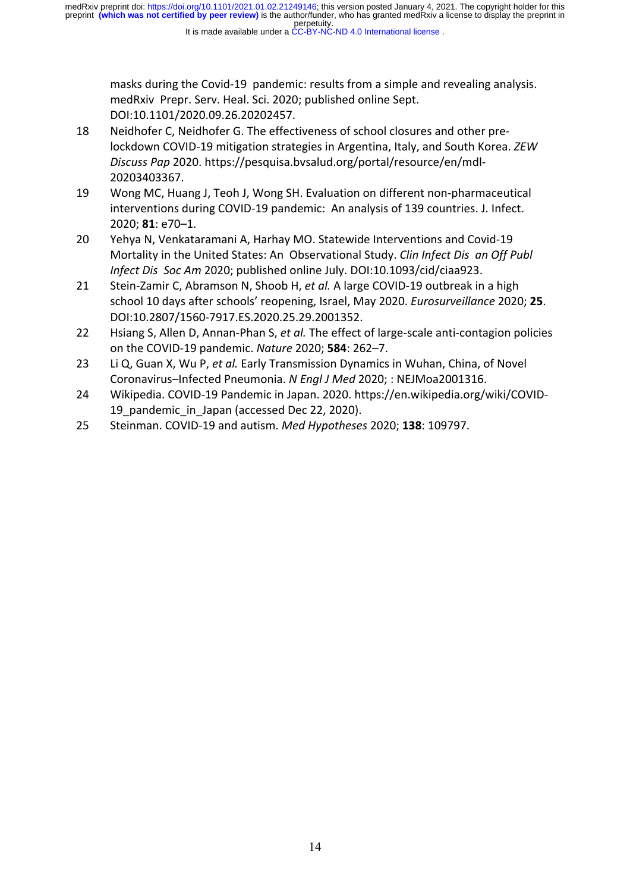It is made available under a CC-BY-NC-ND 4.0 International license.

masks during the Covid-19 pandemic: results from a simple and revealing analysis. medRxiv Prepr. Serv. Heal. Sci. 2020; published online Sept. DOI:10.1101/2020.09.26.20202457.

- 18 Neidhofer C, Neidhofer G. The effectiveness of school closures and other prelockdown COVID-19 mitigation strategies in Argentina, Italy, and South Korea. *ZEW Discuss Pap* 2020. https://pesquisa.bvsalud.org/portal/resource/en/mdl-20203403367.
- 19 Wong MC, Huang J, Teoh J, Wong SH. Evaluation on different non-pharmaceutical interventions during COVID-19 pandemic: An analysis of 139 countries. J. Infect. 2020; **81**: e70–1.
- 20 Yehya N, Venkataramani A, Harhay MO. Statewide Interventions and Covid-19 Mortality in the United States: An Observational Study. *Clin Infect Dis an Off Publ Infect Dis Soc Am* 2020; published online July. DOI:10.1093/cid/ciaa923.
- 21 Stein-Zamir C, Abramson N, Shoob H, *et al.* A large COVID-19 outbreak in a high school 10 days after schools' reopening, Israel, May 2020. *Eurosurveillance* 2020; **25**. DOI:10.2807/1560-7917.ES.2020.25.29.2001352.
- 22 Hsiang S, Allen D, Annan-Phan S, *et al.* The effect of large-scale anti-contagion policies on the COVID-19 pandemic. *Nature* 2020; **584**: 262–7.
- 23 Li Q, Guan X, Wu P, *et al.* Early Transmission Dynamics in Wuhan, China, of Novel Coronavirus–Infected Pneumonia. *N Engl J Med* 2020; : NEJMoa2001316.
- 24 Wikipedia. COVID-19 Pandemic in Japan. 2020. https://en.wikipedia.org/wiki/COVID-19 pandemic in Japan (accessed Dec 22, 2020).
- 25 Steinman. COVID-19 and autism. *Med Hypotheses* 2020; **138**: 109797.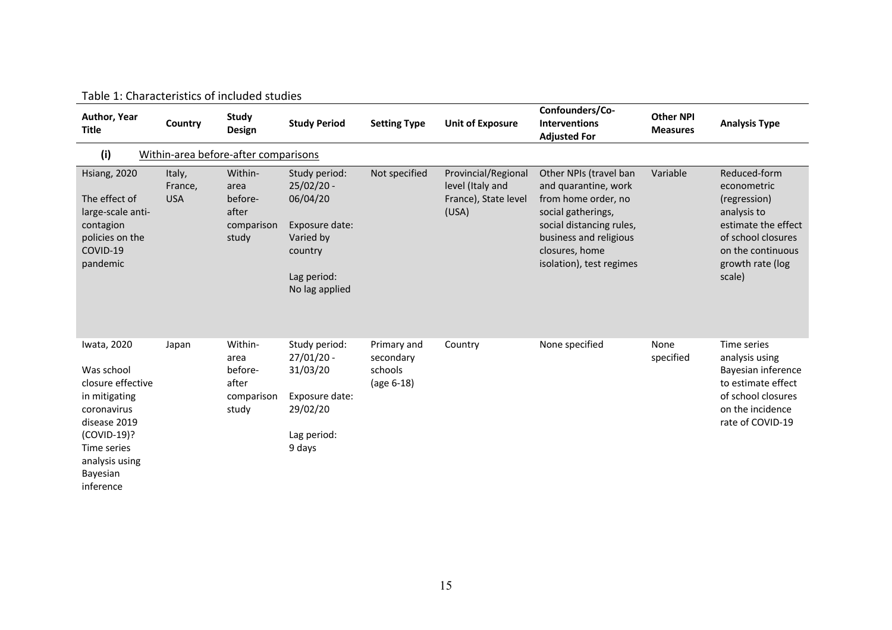| Author, Year<br><b>Title</b>                                                                                                                                            | Country                              | <b>Study</b><br>Design                                     | <b>Study Period</b>                                                                                                  | <b>Setting Type</b>                               | <b>Unit of Exposure</b>                                                  | Confounders/Co-<br><b>Interventions</b><br><b>Adjusted For</b>                                                                                                                                  | <b>Other NPI</b><br><b>Measures</b> | <b>Analysis Type</b>                                                                                                                                       |
|-------------------------------------------------------------------------------------------------------------------------------------------------------------------------|--------------------------------------|------------------------------------------------------------|----------------------------------------------------------------------------------------------------------------------|---------------------------------------------------|--------------------------------------------------------------------------|-------------------------------------------------------------------------------------------------------------------------------------------------------------------------------------------------|-------------------------------------|------------------------------------------------------------------------------------------------------------------------------------------------------------|
| (i)                                                                                                                                                                     | Within-area before-after comparisons |                                                            |                                                                                                                      |                                                   |                                                                          |                                                                                                                                                                                                 |                                     |                                                                                                                                                            |
| <b>Hsiang, 2020</b><br>The effect of<br>large-scale anti-<br>contagion<br>policies on the<br>COVID-19<br>pandemic                                                       | Italy,<br>France,<br><b>USA</b>      | Within-<br>area<br>before-<br>after<br>comparison<br>study | Study period:<br>$25/02/20 -$<br>06/04/20<br>Exposure date:<br>Varied by<br>country<br>Lag period:<br>No lag applied | Not specified                                     | Provincial/Regional<br>level (Italy and<br>France), State level<br>(USA) | Other NPIs (travel ban<br>and quarantine, work<br>from home order, no<br>social gatherings,<br>social distancing rules,<br>business and religious<br>closures, home<br>isolation), test regimes | Variable                            | Reduced-form<br>econometric<br>(regression)<br>analysis to<br>estimate the effect<br>of school closures<br>on the continuous<br>growth rate (log<br>scale) |
| Iwata, 2020<br>Was school<br>closure effective<br>in mitigating<br>coronavirus<br>disease 2019<br>(COVID-19)?<br>Time series<br>analysis using<br>Bayesian<br>inference | Japan                                | Within-<br>area<br>before-<br>after<br>comparison<br>study | Study period:<br>$27/01/20 -$<br>31/03/20<br>Exposure date:<br>29/02/20<br>Lag period:<br>9 days                     | Primary and<br>secondary<br>schools<br>(age 6-18) | Country                                                                  | None specified                                                                                                                                                                                  | None<br>specified                   | Time series<br>analysis using<br>Bayesian inference<br>to estimate effect<br>of school closures<br>on the incidence<br>rate of COVID-19                    |

Table 1: Characteristics of included studies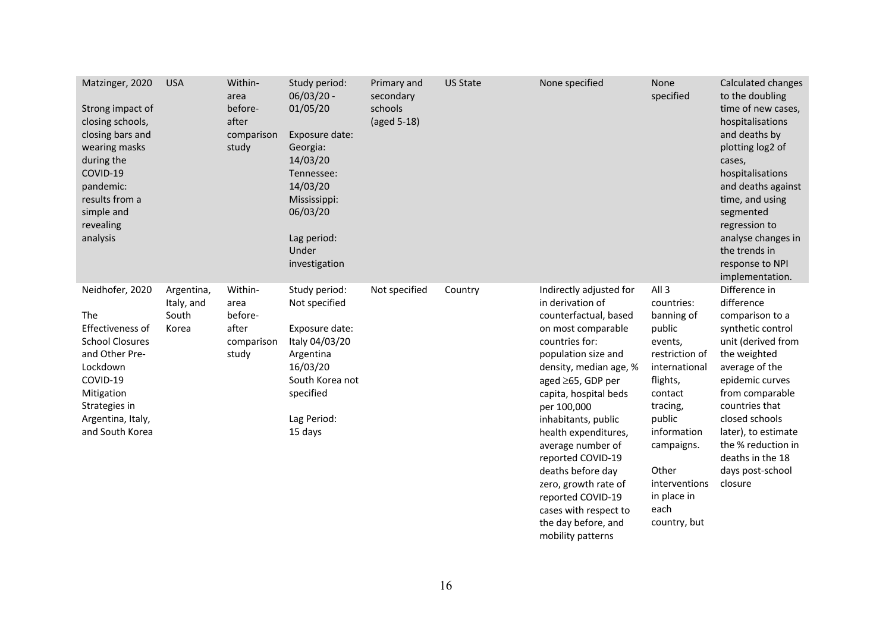| Matzinger, 2020<br>Strong impact of<br>closing schools,<br>closing bars and<br>wearing masks<br>during the<br>COVID-19<br>pandemic:<br>results from a<br>simple and<br>revealing<br>analysis | <b>USA</b>                                 | Within-<br>area<br>before-<br>after<br>comparison<br>study | Study period:<br>$06/03/20 -$<br>01/05/20<br>Exposure date:<br>Georgia:<br>14/03/20<br>Tennessee:<br>14/03/20<br>Mississippi:<br>06/03/20<br>Lag period:<br>Under<br>investigation | Primary and<br>secondary<br>schools<br>(aged 5-18) | <b>US State</b> | None specified                                                                                                                                                                                                                                                                                                                                                                                                                                             | None<br>specified                                                                                                                                                                                                                                      | Calculated changes<br>to the doubling<br>time of new cases,<br>hospitalisations<br>and deaths by<br>plotting log2 of<br>cases,<br>hospitalisations<br>and deaths against<br>time, and using<br>segmented<br>regression to<br>analyse changes in<br>the trends in<br>response to NPI<br>implementation. |
|----------------------------------------------------------------------------------------------------------------------------------------------------------------------------------------------|--------------------------------------------|------------------------------------------------------------|------------------------------------------------------------------------------------------------------------------------------------------------------------------------------------|----------------------------------------------------|-----------------|------------------------------------------------------------------------------------------------------------------------------------------------------------------------------------------------------------------------------------------------------------------------------------------------------------------------------------------------------------------------------------------------------------------------------------------------------------|--------------------------------------------------------------------------------------------------------------------------------------------------------------------------------------------------------------------------------------------------------|--------------------------------------------------------------------------------------------------------------------------------------------------------------------------------------------------------------------------------------------------------------------------------------------------------|
| Neidhofer, 2020<br><b>The</b><br>Effectiveness of<br><b>School Closures</b><br>and Other Pre-<br>Lockdown<br>COVID-19<br>Mitigation<br>Strategies in<br>Argentina, Italy,<br>and South Korea | Argentina,<br>Italy, and<br>South<br>Korea | Within-<br>area<br>before-<br>after<br>comparison<br>study | Study period:<br>Not specified<br>Exposure date:<br>Italy 04/03/20<br>Argentina<br>16/03/20<br>South Korea not<br>specified<br>Lag Period:<br>15 days                              | Not specified                                      | Country         | Indirectly adjusted for<br>in derivation of<br>counterfactual, based<br>on most comparable<br>countries for:<br>population size and<br>density, median age, %<br>aged ≥65, GDP per<br>capita, hospital beds<br>per 100,000<br>inhabitants, public<br>health expenditures,<br>average number of<br>reported COVID-19<br>deaths before day<br>zero, growth rate of<br>reported COVID-19<br>cases with respect to<br>the day before, and<br>mobility patterns | All <sub>3</sub><br>countries:<br>banning of<br>public<br>events,<br>restriction of<br>international<br>flights,<br>contact<br>tracing,<br>public<br>information<br>campaigns.<br>Other<br><i>interventions</i><br>in place in<br>each<br>country, but | Difference in<br>difference<br>comparison to a<br>synthetic control<br>unit (derived from<br>the weighted<br>average of the<br>epidemic curves<br>from comparable<br>countries that<br>closed schools<br>later), to estimate<br>the % reduction in<br>deaths in the 18<br>days post-school<br>closure  |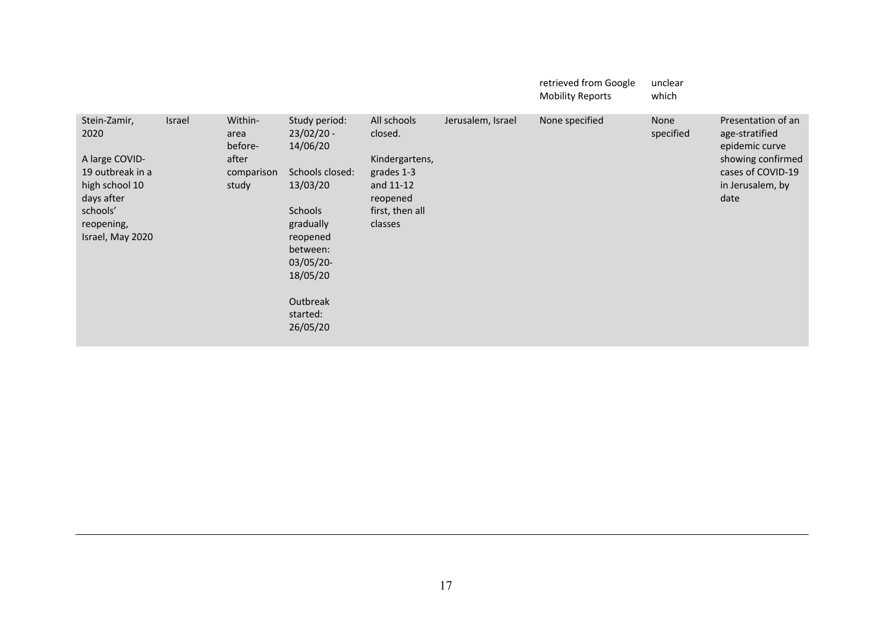|                                                                                                                                          |        |                                                            |                                                                                                                                                                                       |                                                                                                               |                   | retrieved from Google<br><b>Mobility Reports</b> | unclear<br>which  |                                                                                                                              |
|------------------------------------------------------------------------------------------------------------------------------------------|--------|------------------------------------------------------------|---------------------------------------------------------------------------------------------------------------------------------------------------------------------------------------|---------------------------------------------------------------------------------------------------------------|-------------------|--------------------------------------------------|-------------------|------------------------------------------------------------------------------------------------------------------------------|
| Stein-Zamir,<br>2020<br>A large COVID-<br>19 outbreak in a<br>high school 10<br>days after<br>schools'<br>reopening,<br>Israel, May 2020 | Israel | Within-<br>area<br>before-<br>after<br>comparison<br>study | Study period:<br>$23/02/20 -$<br>14/06/20<br>Schools closed:<br>13/03/20<br>Schools<br>gradually<br>reopened<br>between:<br>03/05/20-<br>18/05/20<br>Outbreak<br>started:<br>26/05/20 | All schools<br>closed.<br>Kindergartens,<br>grades 1-3<br>and 11-12<br>reopened<br>first, then all<br>classes | Jerusalem, Israel | None specified                                   | None<br>specified | Presentation of an<br>age-stratified<br>epidemic curve<br>showing confirmed<br>cases of COVID-19<br>in Jerusalem, by<br>date |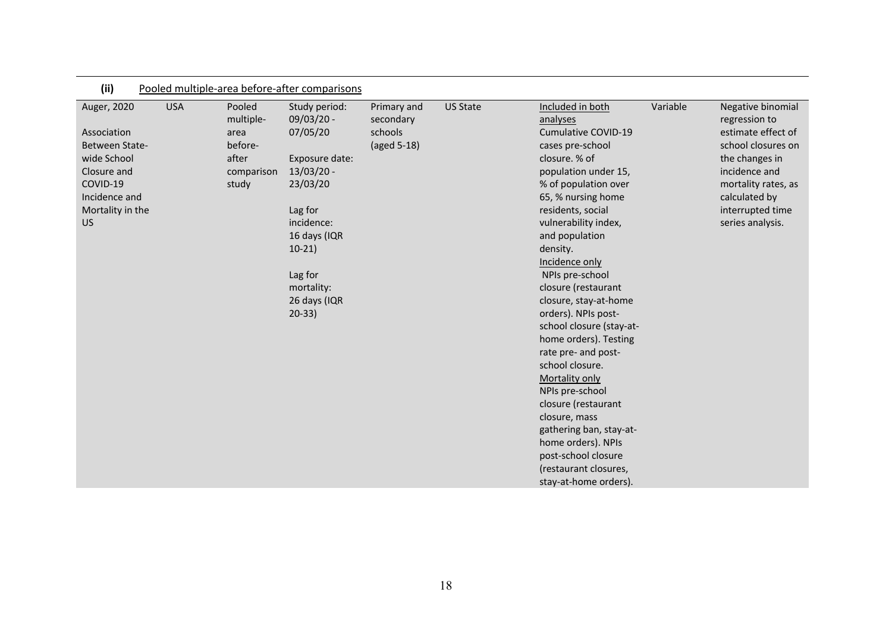| (ii)                                                                                                                               | Pooled multiple-area before-after comparisons |                                                                        |                                                                                                                                                                                                 |                                                    |                 |                                                                                                                                                                                                                                                                                                                                                                                                                                                                                                                                                                                                                                    |          |                                                                                                                                                                                                   |
|------------------------------------------------------------------------------------------------------------------------------------|-----------------------------------------------|------------------------------------------------------------------------|-------------------------------------------------------------------------------------------------------------------------------------------------------------------------------------------------|----------------------------------------------------|-----------------|------------------------------------------------------------------------------------------------------------------------------------------------------------------------------------------------------------------------------------------------------------------------------------------------------------------------------------------------------------------------------------------------------------------------------------------------------------------------------------------------------------------------------------------------------------------------------------------------------------------------------------|----------|---------------------------------------------------------------------------------------------------------------------------------------------------------------------------------------------------|
| Auger, 2020<br>Association<br>Between State-<br>wide School<br>Closure and<br>COVID-19<br>Incidence and<br>Mortality in the<br>US. | <b>USA</b>                                    | Pooled<br>multiple-<br>area<br>before-<br>after<br>comparison<br>study | Study period:<br>09/03/20 -<br>07/05/20<br>Exposure date:<br>$13/03/20 -$<br>23/03/20<br>Lag for<br>incidence:<br>16 days (IQR<br>$10-21)$<br>Lag for<br>mortality:<br>26 days (IQR<br>$20-33)$ | Primary and<br>secondary<br>schools<br>(aged 5-18) | <b>US State</b> | Included in both<br>analyses<br>Cumulative COVID-19<br>cases pre-school<br>closure. % of<br>population under 15,<br>% of population over<br>65, % nursing home<br>residents, social<br>vulnerability index,<br>and population<br>density.<br>Incidence only<br>NPIs pre-school<br>closure (restaurant<br>closure, stay-at-home<br>orders). NPIs post-<br>school closure (stay-at-<br>home orders). Testing<br>rate pre- and post-<br>school closure.<br>Mortality only<br>NPIs pre-school<br>closure (restaurant<br>closure, mass<br>gathering ban, stay-at-<br>home orders). NPIs<br>post-school closure<br>(restaurant closures, | Variable | Negative binomial<br>regression to<br>estimate effect of<br>school closures on<br>the changes in<br>incidence and<br>mortality rates, as<br>calculated by<br>interrupted time<br>series analysis. |
|                                                                                                                                    |                                               |                                                                        |                                                                                                                                                                                                 |                                                    |                 | stay-at-home orders).                                                                                                                                                                                                                                                                                                                                                                                                                                                                                                                                                                                                              |          |                                                                                                                                                                                                   |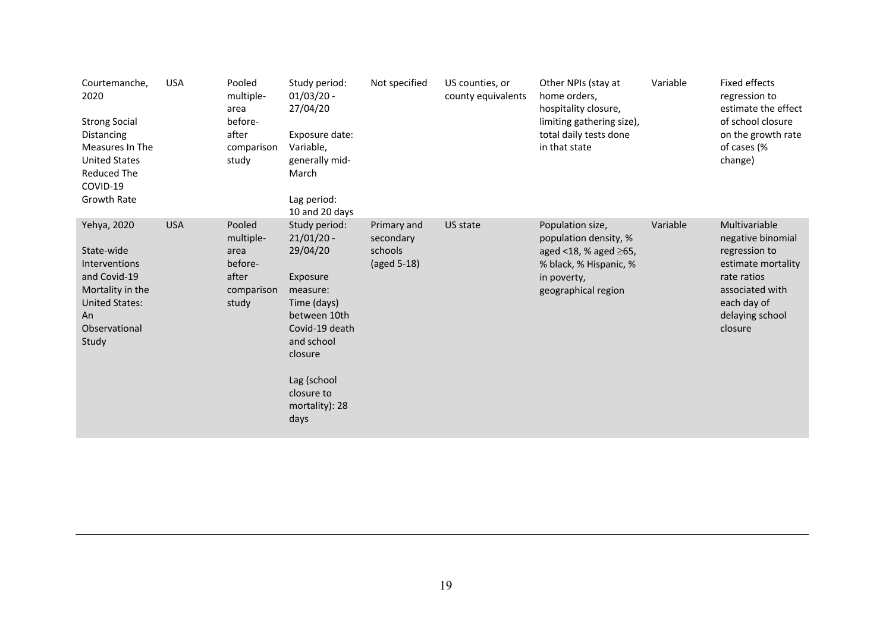| Courtemanche,<br>2020<br><b>Strong Social</b><br><b>Distancing</b><br>Measures In The<br><b>United States</b><br><b>Reduced The</b><br>COVID-19<br>Growth Rate | <b>USA</b> | Pooled<br>multiple-<br>area<br>before-<br>after<br>comparison<br>study | Study period:<br>$01/03/20 -$<br>27/04/20<br>Exposure date:<br>Variable,<br>generally mid-<br>March<br>Lag period:<br>10 and 20 days                                                               | Not specified                                      | US counties, or<br>county equivalents | Other NPIs (stay at<br>home orders,<br>hospitality closure,<br>limiting gathering size),<br>total daily tests done<br>in that state         | Variable | Fixed effects<br>regression to<br>estimate the effect<br>of school closure<br>on the growth rate<br>of cases (%<br>change)                               |
|----------------------------------------------------------------------------------------------------------------------------------------------------------------|------------|------------------------------------------------------------------------|----------------------------------------------------------------------------------------------------------------------------------------------------------------------------------------------------|----------------------------------------------------|---------------------------------------|---------------------------------------------------------------------------------------------------------------------------------------------|----------|----------------------------------------------------------------------------------------------------------------------------------------------------------|
| Yehya, 2020<br>State-wide<br><b>Interventions</b><br>and Covid-19<br>Mortality in the<br><b>United States:</b><br>An<br>Observational<br>Study                 | <b>USA</b> | Pooled<br>multiple-<br>area<br>before-<br>after<br>comparison<br>study | Study period:<br>$21/01/20$ -<br>29/04/20<br>Exposure<br>measure:<br>Time (days)<br>between 10th<br>Covid-19 death<br>and school<br>closure<br>Lag (school<br>closure to<br>mortality): 28<br>days | Primary and<br>secondary<br>schools<br>(aged 5-18) | US state                              | Population size,<br>population density, %<br>aged $<$ 18, % aged $\geq$ 65,<br>% black, % Hispanic, %<br>in poverty,<br>geographical region | Variable | Multivariable<br>negative binomial<br>regression to<br>estimate mortality<br>rate ratios<br>associated with<br>each day of<br>delaying school<br>closure |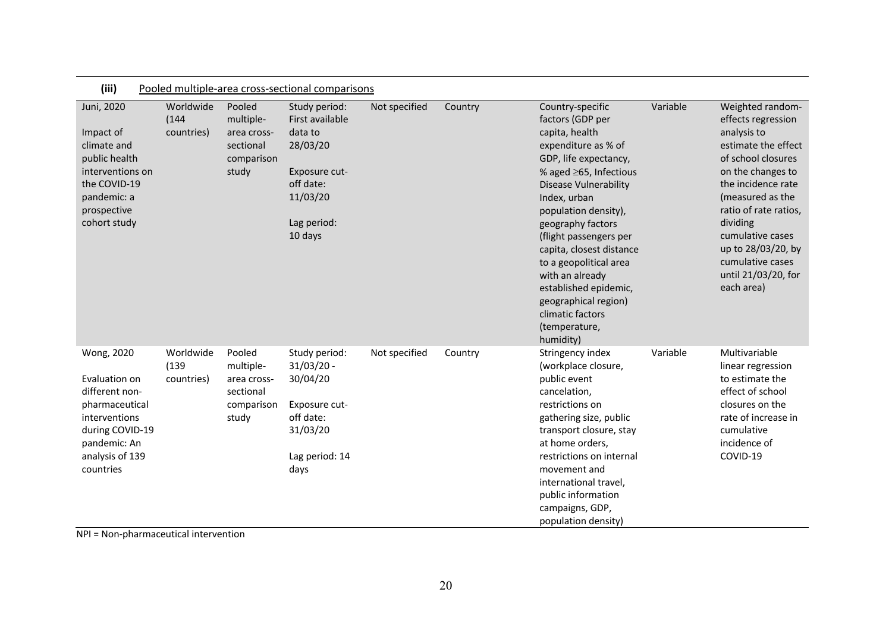| (iii)                                                                                                                                               | Pooled multiple-area cross-sectional comparisons |                                                                        |                                                                                                                             |               |         |                                                                                                                                                                                                                                                                                                                                                                                                                                           |          |                                                                                                                                                                                                                                                                                                           |
|-----------------------------------------------------------------------------------------------------------------------------------------------------|--------------------------------------------------|------------------------------------------------------------------------|-----------------------------------------------------------------------------------------------------------------------------|---------------|---------|-------------------------------------------------------------------------------------------------------------------------------------------------------------------------------------------------------------------------------------------------------------------------------------------------------------------------------------------------------------------------------------------------------------------------------------------|----------|-----------------------------------------------------------------------------------------------------------------------------------------------------------------------------------------------------------------------------------------------------------------------------------------------------------|
| Juni, 2020<br>Impact of<br>climate and<br>public health<br>interventions on<br>the COVID-19<br>pandemic: a<br>prospective<br>cohort study           | Worldwide<br>(144)<br>countries)                 | Pooled<br>multiple-<br>area cross-<br>sectional<br>comparison<br>study | Study period:<br>First available<br>data to<br>28/03/20<br>Exposure cut-<br>off date:<br>11/03/20<br>Lag period:<br>10 days | Not specified | Country | Country-specific<br>factors (GDP per<br>capita, health<br>expenditure as % of<br>GDP, life expectancy,<br>% aged $\geq$ 65, Infectious<br><b>Disease Vulnerability</b><br>Index, urban<br>population density),<br>geography factors<br>(flight passengers per<br>capita, closest distance<br>to a geopolitical area<br>with an already<br>established epidemic,<br>geographical region)<br>climatic factors<br>(temperature,<br>humidity) | Variable | Weighted random-<br>effects regression<br>analysis to<br>estimate the effect<br>of school closures<br>on the changes to<br>the incidence rate<br>(measured as the<br>ratio of rate ratios,<br>dividing<br>cumulative cases<br>up to 28/03/20, by<br>cumulative cases<br>until 21/03/20, for<br>each area) |
| Wong, 2020<br>Evaluation on<br>different non-<br>pharmaceutical<br>interventions<br>during COVID-19<br>pandemic: An<br>analysis of 139<br>countries | Worldwide<br>(139)<br>countries)                 | Pooled<br>multiple-<br>area cross-<br>sectional<br>comparison<br>study | Study period:<br>$31/03/20 -$<br>30/04/20<br>Exposure cut-<br>off date:<br>31/03/20<br>Lag period: 14<br>days               | Not specified | Country | Stringency index<br>(workplace closure,<br>public event<br>cancelation,<br>restrictions on<br>gathering size, public<br>transport closure, stay<br>at home orders,<br>restrictions on internal<br>movement and<br>international travel,<br>public information<br>campaigns, GDP,<br>population density)                                                                                                                                   | Variable | Multivariable<br>linear regression<br>to estimate the<br>effect of school<br>closures on the<br>rate of increase in<br>cumulative<br>incidence of<br>COVID-19                                                                                                                                             |

NPI = Non-pharmaceutical intervention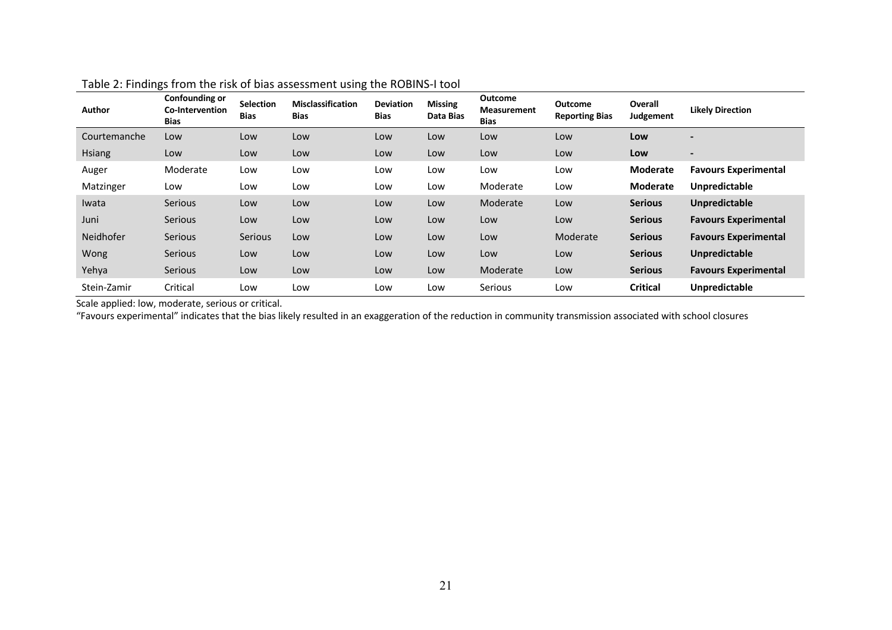| <b>Author</b> | Confounding or<br>Co-Intervention<br><b>Bias</b> | <b>Selection</b><br><b>Bias</b> | ັ<br><b>Misclassification</b><br><b>Bias</b> | <b>Deviation</b><br><b>Bias</b> | <b>Missing</b><br>Data Bias | Outcome<br><b>Measurement</b><br><b>Bias</b> | <b>Outcome</b><br><b>Reporting Bias</b> | Overall<br>Judgement | <b>Likely Direction</b>     |
|---------------|--------------------------------------------------|---------------------------------|----------------------------------------------|---------------------------------|-----------------------------|----------------------------------------------|-----------------------------------------|----------------------|-----------------------------|
| Courtemanche  | Low                                              | Low                             | Low                                          | Low                             | Low                         | Low                                          | Low                                     | Low                  |                             |
| <b>Hsiang</b> | Low                                              | Low                             | Low                                          | Low                             | Low                         | Low                                          | Low                                     | Low                  | $\blacksquare$              |
| Auger         | Moderate                                         | Low                             | Low                                          | Low                             | Low                         | Low                                          | Low                                     | Moderate             | <b>Favours Experimental</b> |
| Matzinger     | Low                                              | Low                             | Low                                          | Low                             | Low                         | Moderate                                     | Low                                     | <b>Moderate</b>      | <b>Unpredictable</b>        |
| Iwata         | <b>Serious</b>                                   | Low                             | Low                                          | Low                             | Low                         | Moderate                                     | Low                                     | <b>Serious</b>       | <b>Unpredictable</b>        |
| Juni          | <b>Serious</b>                                   | Low                             | Low                                          | Low                             | Low                         | Low                                          | Low                                     | <b>Serious</b>       | <b>Favours Experimental</b> |
| Neidhofer     | <b>Serious</b>                                   | Serious                         | Low                                          | Low                             | Low                         | Low                                          | Moderate                                | <b>Serious</b>       | <b>Favours Experimental</b> |
| Wong          | <b>Serious</b>                                   | Low                             | Low                                          | Low                             | Low                         | Low                                          | Low                                     | <b>Serious</b>       | <b>Unpredictable</b>        |
| Yehya         | <b>Serious</b>                                   | Low                             | Low                                          | Low                             | Low                         | Moderate                                     | Low                                     | <b>Serious</b>       | <b>Favours Experimental</b> |
| Stein-Zamir   | Critical                                         | Low                             | Low                                          | Low                             | Low                         | Serious                                      | Low                                     | <b>Critical</b>      | <b>Unpredictable</b>        |

## Table 2: Findings from the risk of bias assessment using the ROBINS-I tool

Scale applied: low, moderate, serious or critical.

"Favours experimental" indicates that the bias likely resulted in an exaggeration of the reduction in community transmission associated with school closures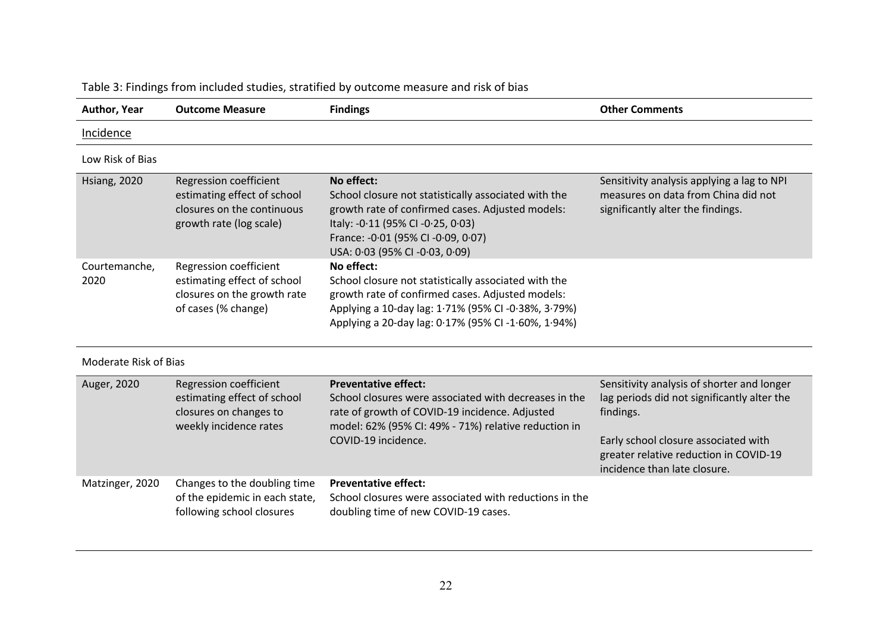| <b>Author, Year</b>   | <b>Outcome Measure</b>                                                                                         | <b>Findings</b>                                                                                                                                                                                                                     | <b>Other Comments</b>                                                                                                                                                                                                    |
|-----------------------|----------------------------------------------------------------------------------------------------------------|-------------------------------------------------------------------------------------------------------------------------------------------------------------------------------------------------------------------------------------|--------------------------------------------------------------------------------------------------------------------------------------------------------------------------------------------------------------------------|
| Incidence             |                                                                                                                |                                                                                                                                                                                                                                     |                                                                                                                                                                                                                          |
| Low Risk of Bias      |                                                                                                                |                                                                                                                                                                                                                                     |                                                                                                                                                                                                                          |
| <b>Hsiang, 2020</b>   | Regression coefficient<br>estimating effect of school<br>closures on the continuous<br>growth rate (log scale) | No effect:<br>School closure not statistically associated with the<br>growth rate of confirmed cases. Adjusted models:<br>Italy: -0.11 (95% CI -0.25, 0.03)<br>France: -0.01 (95% CI -0.09, 0.07)<br>USA: 0.03 (95% CI -0.03, 0.09) | Sensitivity analysis applying a lag to NPI<br>measures on data from China did not<br>significantly alter the findings.                                                                                                   |
| Courtemanche,<br>2020 | Regression coefficient<br>estimating effect of school<br>closures on the growth rate<br>of cases (% change)    | No effect:<br>School closure not statistically associated with the<br>growth rate of confirmed cases. Adjusted models:<br>Applying a 10-day lag: 1.71% (95% CI-0.38%, 3.79%)<br>Applying a 20-day lag: 0.17% (95% CI-1.60%, 1.94%)  |                                                                                                                                                                                                                          |
| Moderate Risk of Bias |                                                                                                                |                                                                                                                                                                                                                                     |                                                                                                                                                                                                                          |
| Auger, 2020           | Regression coefficient<br>estimating effect of school<br>closures on changes to<br>weekly incidence rates      | <b>Preventative effect:</b><br>School closures were associated with decreases in the<br>rate of growth of COVID-19 incidence. Adjusted<br>model: 62% (95% CI: 49% - 71%) relative reduction in<br>COVID-19 incidence.               | Sensitivity analysis of shorter and longer<br>lag periods did not significantly alter the<br>findings.<br>Early school closure associated with<br>greater relative reduction in COVID-19<br>incidence than late closure. |
| Matzinger, 2020       | Changes to the doubling time<br>of the epidemic in each state,<br>following school closures                    | <b>Preventative effect:</b><br>School closures were associated with reductions in the<br>doubling time of new COVID-19 cases.                                                                                                       |                                                                                                                                                                                                                          |

Table 3: Findings from included studies, stratified by outcome measure and risk of bias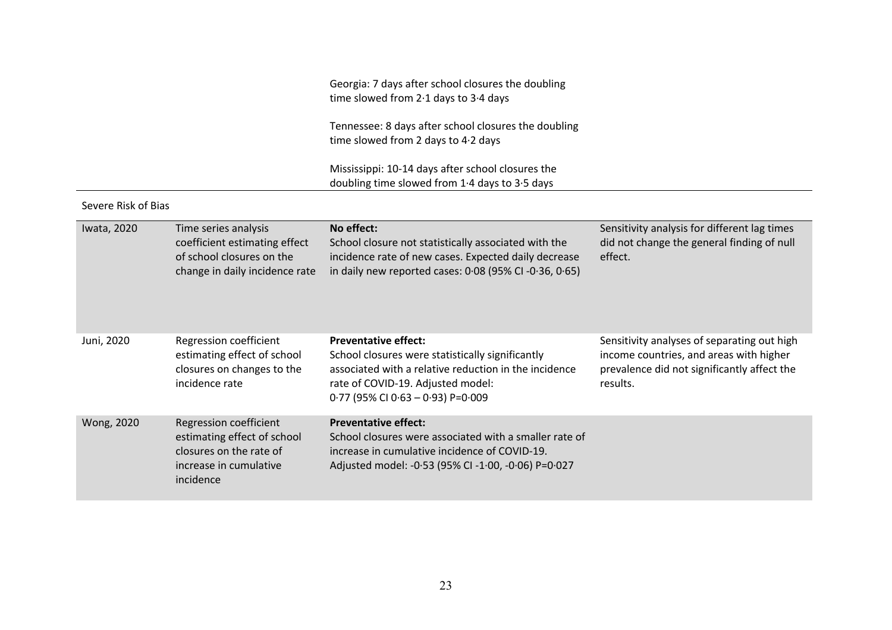Georgia: 7 days after school closures the doubling time slowed from 2·1 days to 3·4 days

Tennessee: 8 days after school closures the doubling time slowed from 2 days to 4·2 days

Mississippi: 10-14 days after school closures the doubling time slowed from 1·4 days to 3·5 days

### Severe Risk of Bias

| Iwata, 2020 | Time series analysis<br>coefficient estimating effect<br>of school closures on the<br>change in daily incidence rate    | No effect:<br>School closure not statistically associated with the<br>incidence rate of new cases. Expected daily decrease<br>in daily new reported cases: 0.08 (95% CI -0.36, 0.65)                                 | Sensitivity analysis for different lag times<br>did not change the general finding of null<br>effect.                                             |
|-------------|-------------------------------------------------------------------------------------------------------------------------|----------------------------------------------------------------------------------------------------------------------------------------------------------------------------------------------------------------------|---------------------------------------------------------------------------------------------------------------------------------------------------|
| Juni, 2020  | Regression coefficient<br>estimating effect of school<br>closures on changes to the<br>incidence rate                   | <b>Preventative effect:</b><br>School closures were statistically significantly<br>associated with a relative reduction in the incidence<br>rate of COVID-19. Adjusted model:<br>$0.77$ (95% CI 0.63 - 0.93) P=0.009 | Sensitivity analyses of separating out high<br>income countries, and areas with higher<br>prevalence did not significantly affect the<br>results. |
| Wong, 2020  | Regression coefficient<br>estimating effect of school<br>closures on the rate of<br>increase in cumulative<br>incidence | <b>Preventative effect:</b><br>School closures were associated with a smaller rate of<br>increase in cumulative incidence of COVID-19.<br>Adjusted model: -0.53 (95% CI -1.00, -0.06) P=0.027                        |                                                                                                                                                   |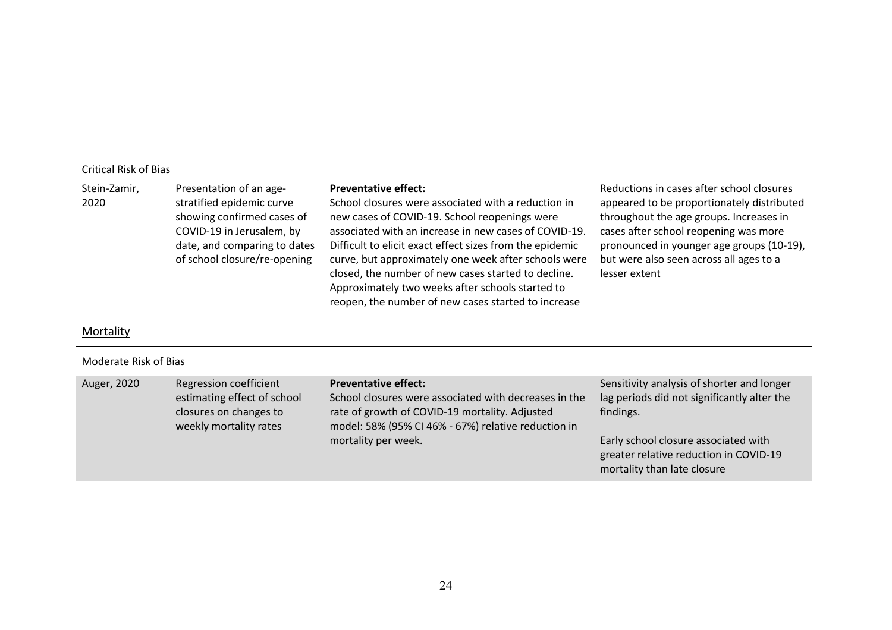## Critical Risk of Bias

| Stein-Zamir,<br>2020 | Presentation of an age-<br>stratified epidemic curve<br>showing confirmed cases of<br>COVID-19 in Jerusalem, by<br>date, and comparing to dates<br>of school closure/re-opening | <b>Preventative effect:</b><br>School closures were associated with a reduction in<br>new cases of COVID-19. School reopenings were<br>associated with an increase in new cases of COVID-19.<br>Difficult to elicit exact effect sizes from the epidemic<br>curve, but approximately one week after schools were<br>closed, the number of new cases started to decline.<br>Approximately two weeks after schools started to<br>reopen, the number of new cases started to increase | Reductions in cases after school closures<br>appeared to be proportionately distributed<br>throughout the age groups. Increases in<br>cases after school reopening was more<br>pronounced in younger age groups (10-19),<br>but were also seen across all ages to a<br>lesser extent |
|----------------------|---------------------------------------------------------------------------------------------------------------------------------------------------------------------------------|------------------------------------------------------------------------------------------------------------------------------------------------------------------------------------------------------------------------------------------------------------------------------------------------------------------------------------------------------------------------------------------------------------------------------------------------------------------------------------|--------------------------------------------------------------------------------------------------------------------------------------------------------------------------------------------------------------------------------------------------------------------------------------|
|----------------------|---------------------------------------------------------------------------------------------------------------------------------------------------------------------------------|------------------------------------------------------------------------------------------------------------------------------------------------------------------------------------------------------------------------------------------------------------------------------------------------------------------------------------------------------------------------------------------------------------------------------------------------------------------------------------|--------------------------------------------------------------------------------------------------------------------------------------------------------------------------------------------------------------------------------------------------------------------------------------|

**Mortality** 

### Moderate Risk of Bias

| Auger, 2020 | Regression coefficient<br>estimating effect of school<br>closures on changes to<br>weekly mortality rates | <b>Preventative effect:</b><br>School closures were associated with decreases in the<br>rate of growth of COVID-19 mortality. Adjusted<br>model: 58% (95% CI 46% - 67%) relative reduction in | Sensitivity analysis of shorter and longer<br>lag periods did not significantly alter the<br>findings.        |
|-------------|-----------------------------------------------------------------------------------------------------------|-----------------------------------------------------------------------------------------------------------------------------------------------------------------------------------------------|---------------------------------------------------------------------------------------------------------------|
|             |                                                                                                           | mortality per week.                                                                                                                                                                           | Early school closure associated with<br>greater relative reduction in COVID-19<br>mortality than late closure |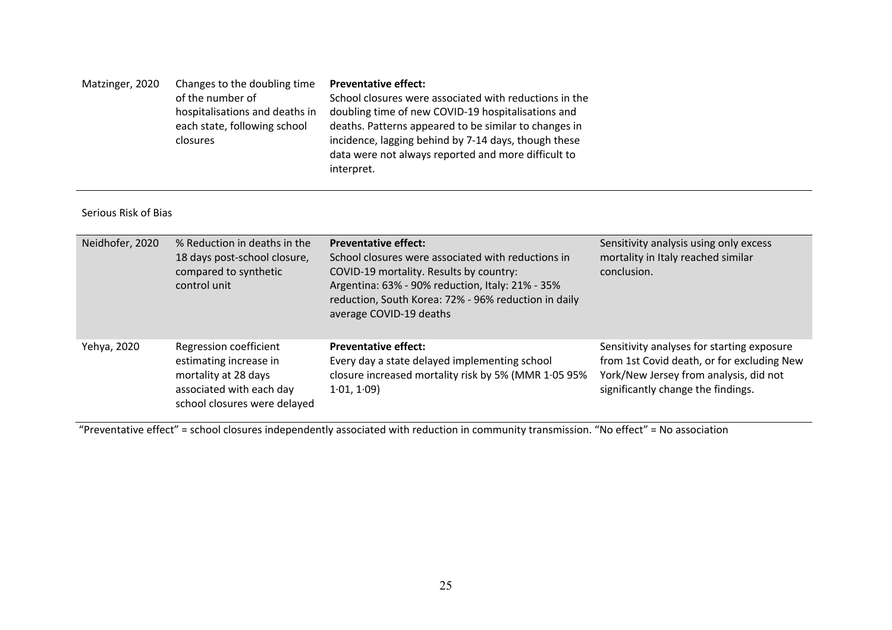| Matzinger, 2020 | Changes to the doubling time   | <b>Preventative effect:</b>                            |
|-----------------|--------------------------------|--------------------------------------------------------|
|                 | of the number of               | School closures were associated with reductions in the |
|                 | hospitalisations and deaths in | doubling time of new COVID-19 hospitalisations and     |
|                 | each state, following school   | deaths. Patterns appeared to be similar to changes in  |
|                 | closures                       | incidence, lagging behind by 7-14 days, though these   |
|                 |                                | data were not always reported and more difficult to    |
|                 |                                | interpret.                                             |

#### Serious Risk of Bias

| Neidhofer, 2020 | % Reduction in deaths in the<br>18 days post-school closure,<br>compared to synthetic<br>control unit                                | <b>Preventative effect:</b><br>School closures were associated with reductions in<br>COVID-19 mortality. Results by country:<br>Argentina: 63% - 90% reduction, Italy: 21% - 35%<br>reduction, South Korea: 72% - 96% reduction in daily<br>average COVID-19 deaths | Sensitivity analysis using only excess<br>mortality in Italy reached similar<br>conclusion.                                                                              |
|-----------------|--------------------------------------------------------------------------------------------------------------------------------------|---------------------------------------------------------------------------------------------------------------------------------------------------------------------------------------------------------------------------------------------------------------------|--------------------------------------------------------------------------------------------------------------------------------------------------------------------------|
| Yehya, 2020     | Regression coefficient<br>estimating increase in<br>mortality at 28 days<br>associated with each day<br>school closures were delayed | <b>Preventative effect:</b><br>Every day a state delayed implementing school<br>closure increased mortality risk by 5% (MMR 1.05 95%<br>1.01, 1.09                                                                                                                  | Sensitivity analyses for starting exposure<br>from 1st Covid death, or for excluding New<br>York/New Jersey from analysis, did not<br>significantly change the findings. |

"Preventative effect" = school closures independently associated with reduction in community transmission. "No effect" = No association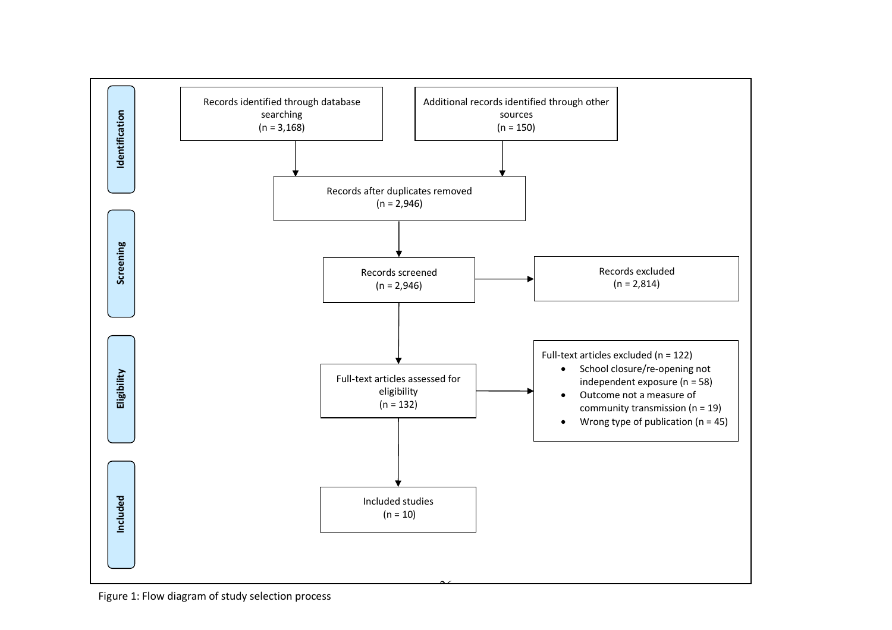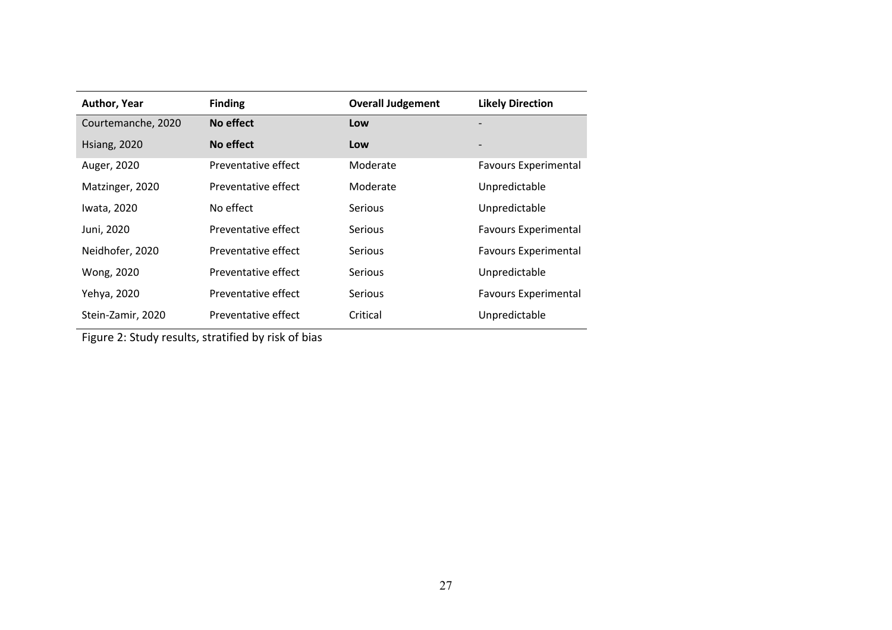| <b>Author, Year</b> | <b>Finding</b>      | <b>Overall Judgement</b> | <b>Likely Direction</b>     |
|---------------------|---------------------|--------------------------|-----------------------------|
| Courtemanche, 2020  | No effect           | Low                      |                             |
| <b>Hsiang, 2020</b> | No effect           | Low                      |                             |
| Auger, 2020         | Preventative effect | Moderate                 | <b>Favours Experimental</b> |
| Matzinger, 2020     | Preventative effect | Moderate                 | Unpredictable               |
| Iwata, 2020         | No effect           | <b>Serious</b>           | Unpredictable               |
| Juni, 2020          | Preventative effect | <b>Serious</b>           | <b>Favours Experimental</b> |
| Neidhofer, 2020     | Preventative effect | <b>Serious</b>           | <b>Favours Experimental</b> |
| Wong, 2020          | Preventative effect | <b>Serious</b>           | Unpredictable               |
| Yehya, 2020         | Preventative effect | <b>Serious</b>           | <b>Favours Experimental</b> |
| Stein-Zamir, 2020   | Preventative effect | Critical                 | Unpredictable               |

Figure 2: Study results, stratified by risk of bias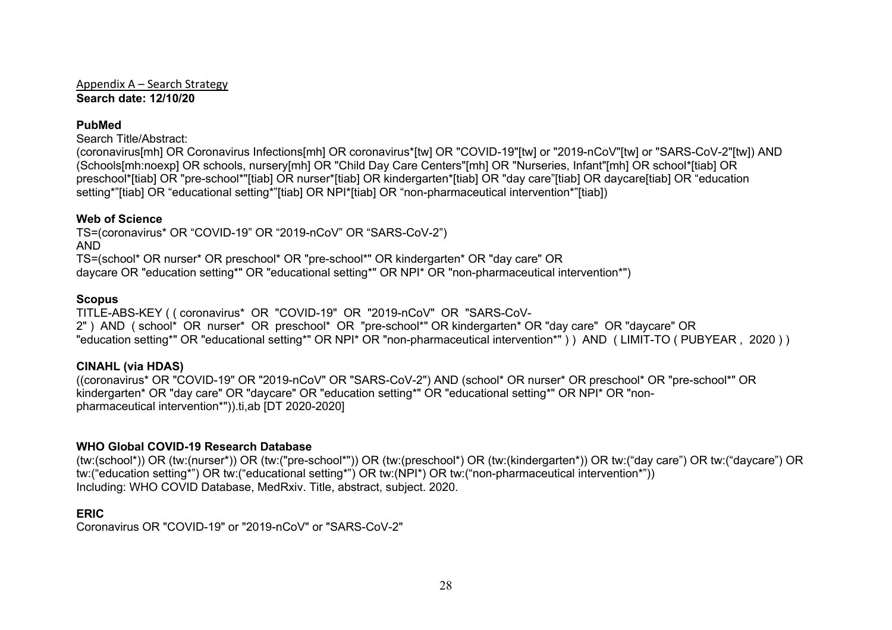Appendix A – Search Strategy **Search date: 12/10/20**

## **PubMed**

Search Title/Abstract:

(coronavirus[mh] OR Coronavirus Infections[mh] OR coronavirus\*[tw] OR "COVID-19"[tw] or "2019-nCoV"[tw] or "SARS-CoV-2"[tw]) AND (Schools[mh:noexp] OR schools, nursery[mh] OR "Child Day Care Centers"[mh] OR "Nurseries, Infant"[mh] OR school\*[tiab] OR preschool\*[tiab] OR "pre-school\*"[tiab] OR nurser\*[tiab] OR kindergarten\*[tiab] OR "day care"[tiab] OR daycare[tiab] OR "education setting\*"[tiab] OR "educational setting\*"[tiab] OR NPI\*[tiab] OR "non-pharmaceutical intervention\*"[tiab])

## **Web of Science**

TS=(coronavirus\* OR "COVID-19" OR "2019-nCoV" OR "SARS-CoV-2") AND TS=(school\* OR nurser\* OR preschool\* OR "pre-school\*" OR kindergarten\* OR "day care" OR daycare OR "education setting\*" OR "educational setting\*" OR NPI\* OR "non-pharmaceutical intervention\*")

## **Scopus**

TITLE-ABS-KEY ( ( coronavirus\* OR "COVID-19" OR "2019-nCoV" OR "SARS-CoV-2") AND (school<sup>\*</sup> OR nurser<sup>\*</sup> OR preschool<sup>\*</sup> OR "pre-school<sup>\*</sup>" OR kindergarten<sup>\*</sup> OR "day care" OR "daycare" OR "education setting\*" OR "educational setting\*" OR NPI\* OR "non-pharmaceutical intervention\*" ) ) AND ( LIMIT-TO ( PUBYEAR , 2020 ) )

## **CINAHL (via HDAS)**

((coronavirus\* OR "COVID-19" OR "2019-nCoV" OR "SARS-CoV-2") AND (school\* OR nurser\* OR preschool\* OR "pre-school\*" OR kindergarten\* OR "day care" OR "daycare" OR "education setting\*" OR "educational setting\*" OR NPI\* OR "nonpharmaceutical intervention\*")).ti,ab [DT 2020-2020]

# **WHO Global COVID-19 Research Database**

(tw:(school\*)) OR (tw:(nurser\*)) OR (tw:("pre-school\*")) OR (tw:(preschool\*) OR (tw:(kindergarten\*)) OR tw:("day care") OR tw:("daycare") OR tw:("education setting\*") OR tw:("educational setting\*") OR tw:(NPI\*) OR tw:("non-pharmaceutical intervention\*")) Including: WHO COVID Database, MedRxiv. Title, abstract, subject. 2020.

# **ERIC**

Coronavirus OR "COVID-19" or "2019-nCoV" or "SARS-CoV-2"